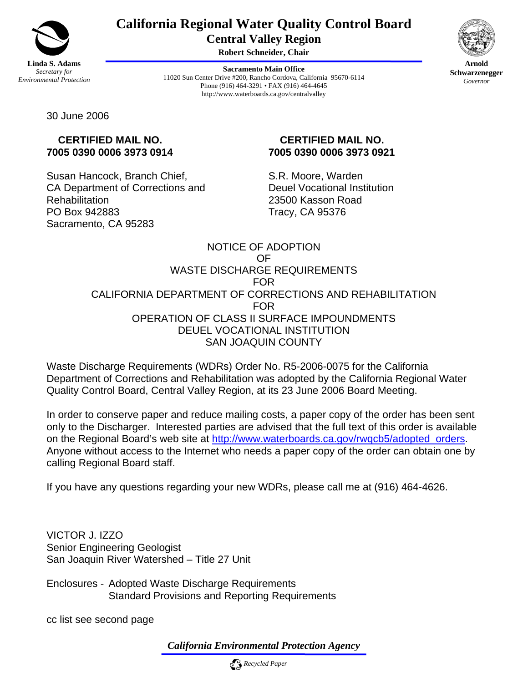

# **California Regional Water Quality Control Board Central Valley Region**

**Robert Schneider, Chair**

**Sacramento Main Office** 11020 Sun Center Drive #200, Rancho Cordova, California 95670-6114 Phone (916) 464-3291 • FAX (916) 464-4645 http://www.waterboards.ca.gov/centralvalley



**Arnold Schwarzenegger** *Governor* 

30 June 2006

# **CERTIFIED MAIL NO. 7005 0390 0006 3973 0914**

Susan Hancock, Branch Chief, CA Department of Corrections and **Rehabilitation** PO Box 942883 Sacramento, CA 95283

# **CERTIFIED MAIL NO. 7005 0390 0006 3973 0921**

S.R. Moore, Warden Deuel Vocational Institution 23500 Kasson Road Tracy, CA 95376

# NOTICE OF ADOPTION OF WASTE DISCHARGE REQUIREMENTS FOR CALIFORNIA DEPARTMENT OF CORRECTIONS AND REHABILITATION FOR OPERATION OF CLASS II SURFACE IMPOUNDMENTS DEUEL VOCATIONAL INSTITUTION SAN JOAQUIN COUNTY

Waste Discharge Requirements (WDRs) Order No. R5-2006-0075 for the California Department of Corrections and Rehabilitation was adopted by the California Regional Water Quality Control Board, Central Valley Region, at its 23 June 2006 Board Meeting.

In order to conserve paper and reduce mailing costs, a paper copy of the order has been sent only to the Discharger. Interested parties are advised that the full text of this order is available on the Regional Board's web site at http://www.waterboards.ca.gov/rwgcb5/adopted orders. Anyone without access to the Internet who needs a paper copy of the order can obtain one by calling Regional Board staff.

If you have any questions regarding your new WDRs, please call me at (916) 464-4626.

VICTOR J. IZZO Senior Engineering Geologist San Joaquin River Watershed – Title 27 Unit

Enclosures - Adopted Waste Discharge Requirements Standard Provisions and Reporting Requirements

cc list see second page

*California Environmental Protection Agency*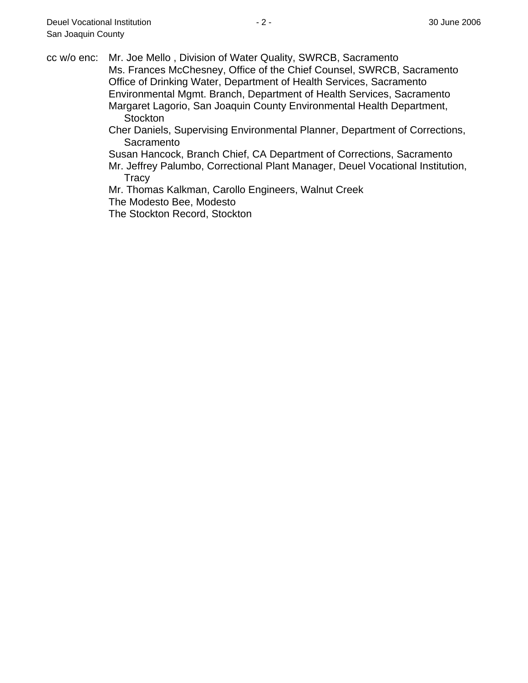cc w/o enc: Mr. Joe Mello , Division of Water Quality, SWRCB, Sacramento Ms. Frances McChesney, Office of the Chief Counsel, SWRCB, Sacramento Office of Drinking Water, Department of Health Services, Sacramento Environmental Mgmt. Branch, Department of Health Services, Sacramento Margaret Lagorio, San Joaquin County Environmental Health Department, **Stockton** 

Cher Daniels, Supervising Environmental Planner, Department of Corrections, **Sacramento** 

Susan Hancock, Branch Chief, CA Department of Corrections, Sacramento Mr. Jeffrey Palumbo, Correctional Plant Manager, Deuel Vocational Institution, **Tracy** 

Mr. Thomas Kalkman, Carollo Engineers, Walnut Creek

The Modesto Bee, Modesto

The Stockton Record, Stockton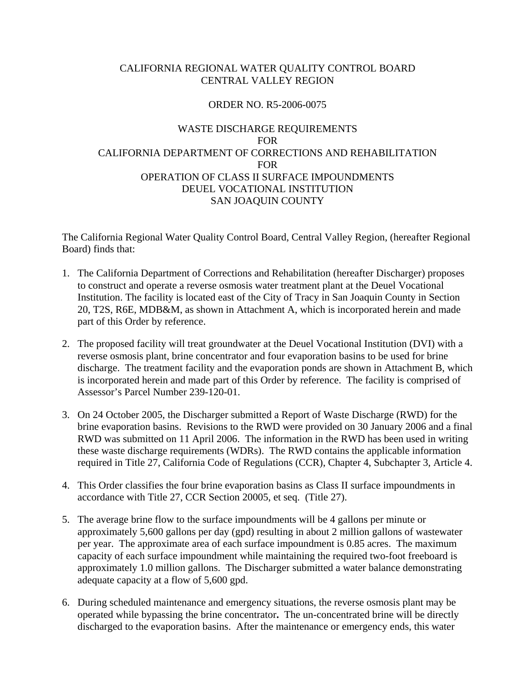# CALIFORNIA REGIONAL WATER QUALITY CONTROL BOARD CENTRAL VALLEY REGION

# ORDER NO. R5-2006-0075

# WASTE DISCHARGE REQUIREMENTS FOR CALIFORNIA DEPARTMENT OF CORRECTIONS AND REHABILITATION FOR OPERATION OF CLASS II SURFACE IMPOUNDMENTS DEUEL VOCATIONAL INSTITUTION SAN JOAQUIN COUNTY

The California Regional Water Quality Control Board, Central Valley Region, (hereafter Regional Board) finds that:

- 1. The California Department of Corrections and Rehabilitation (hereafter Discharger) proposes to construct and operate a reverse osmosis water treatment plant at the Deuel Vocational Institution. The facility is located east of the City of Tracy in San Joaquin County in Section 20, T2S, R6E, MDB&M, as shown in Attachment A, which is incorporated herein and made part of this Order by reference.
- 2. The proposed facility will treat groundwater at the Deuel Vocational Institution (DVI) with a reverse osmosis plant, brine concentrator and four evaporation basins to be used for brine discharge. The treatment facility and the evaporation ponds are shown in Attachment B, which is incorporated herein and made part of this Order by reference. The facility is comprised of Assessor's Parcel Number 239-120-01.
- 3. On 24 October 2005, the Discharger submitted a Report of Waste Discharge (RWD) for the brine evaporation basins. Revisions to the RWD were provided on 30 January 2006 and a final RWD was submitted on 11 April 2006. The information in the RWD has been used in writing these waste discharge requirements (WDRs). The RWD contains the applicable information required in Title 27, California Code of Regulations (CCR), Chapter 4, Subchapter 3, Article 4.
- 4. This Order classifies the four brine evaporation basins as Class II surface impoundments in accordance with Title 27, CCR Section 20005, et seq. (Title 27).
- 5. The average brine flow to the surface impoundments will be 4 gallons per minute or approximately 5,600 gallons per day (gpd) resulting in about 2 million gallons of wastewater per year. The approximate area of each surface impoundment is 0.85 acres. The maximum capacity of each surface impoundment while maintaining the required two-foot freeboard is approximately 1.0 million gallons. The Discharger submitted a water balance demonstrating adequate capacity at a flow of 5,600 gpd.
- 6. During scheduled maintenance and emergency situations, the reverse osmosis plant may be operated while bypassing the brine concentrator**.** The un-concentrated brine will be directly discharged to the evaporation basins. After the maintenance or emergency ends, this water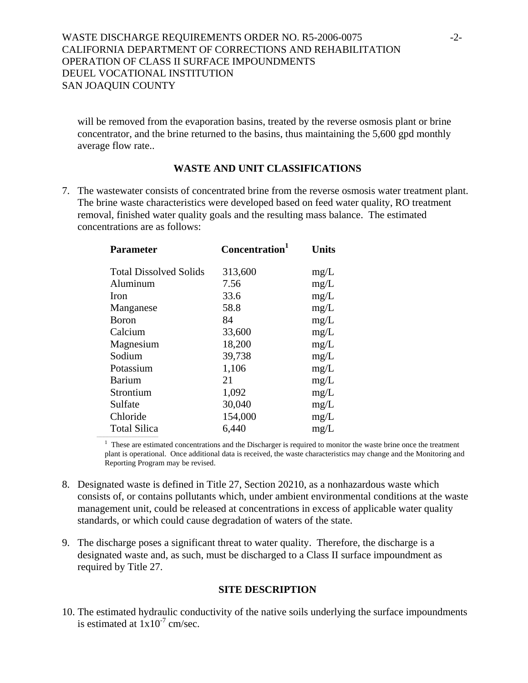will be removed from the evaporation basins, treated by the reverse osmosis plant or brine concentrator, and the brine returned to the basins, thus maintaining the 5,600 gpd monthly average flow rate..

## **WASTE AND UNIT CLASSIFICATIONS**

7. The wastewater consists of concentrated brine from the reverse osmosis water treatment plant. The brine waste characteristics were developed based on feed water quality, RO treatment removal, finished water quality goals and the resulting mass balance. The estimated concentrations are as follows:

| <b>Parameter</b>              | Concentration <sup>1</sup> | <b>Units</b> |
|-------------------------------|----------------------------|--------------|
| <b>Total Dissolved Solids</b> | 313,600                    | mg/L         |
| Aluminum                      | 7.56                       | mg/L         |
| <b>Iron</b>                   | 33.6                       | mg/L         |
| Manganese                     | 58.8                       | mg/L         |
| <b>Boron</b>                  | 84                         | mg/L         |
| Calcium                       | 33,600                     | mg/L         |
| Magnesium                     | 18,200                     | mg/L         |
| Sodium                        | 39,738                     | mg/L         |
| Potassium                     | 1,106                      | mg/L         |
| Barium                        | 21                         | mg/L         |
| Strontium                     | 1,092                      | mg/L         |
| Sulfate                       | 30,040                     | mg/L         |
| Chloride                      | 154,000                    | mg/L         |
| <b>Total Silica</b>           | 6,440                      | mg/L         |

<sup>1</sup> These are estimated concentrations and the Discharger is required to monitor the waste brine once the treatment plant is operational. Once additional data is received, the waste characteristics may change and the Monitoring and Reporting Program may be revised.

- 8. Designated waste is defined in Title 27, Section 20210, as a nonhazardous waste which consists of, or contains pollutants which, under ambient environmental conditions at the waste management unit, could be released at concentrations in excess of applicable water quality standards, or which could cause degradation of waters of the state.
- 9. The discharge poses a significant threat to water quality. Therefore, the discharge is a designated waste and, as such, must be discharged to a Class II surface impoundment as required by Title 27.

## **SITE DESCRIPTION**

10. The estimated hydraulic conductivity of the native soils underlying the surface impoundments is estimated at  $1x10^{-7}$  cm/sec.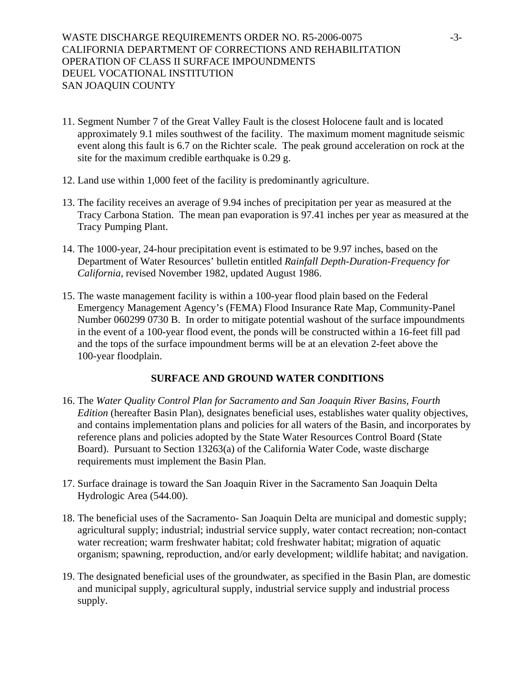- 11. Segment Number 7 of the Great Valley Fault is the closest Holocene fault and is located approximately 9.1 miles southwest of the facility. The maximum moment magnitude seismic event along this fault is 6.7 on the Richter scale. The peak ground acceleration on rock at the site for the maximum credible earthquake is 0.29 g.
- 12. Land use within 1,000 feet of the facility is predominantly agriculture.
- 13. The facility receives an average of 9.94 inches of precipitation per year as measured at the Tracy Carbona Station. The mean pan evaporation is 97.41 inches per year as measured at the Tracy Pumping Plant.
- 14. The 1000-year, 24-hour precipitation event is estimated to be 9.97 inches, based on the Department of Water Resources' bulletin entitled *Rainfall Depth-Duration-Frequency for California*, revised November 1982, updated August 1986.
- 15. The waste management facility is within a 100-year flood plain based on the Federal Emergency Management Agency's (FEMA) Flood Insurance Rate Map, Community-Panel Number 060299 0730 B. In order to mitigate potential washout of the surface impoundments in the event of a 100-year flood event, the ponds will be constructed within a 16-feet fill pad and the tops of the surface impoundment berms will be at an elevation 2-feet above the 100-year floodplain.

## **SURFACE AND GROUND WATER CONDITIONS**

- 16. The *Water Quality Control Plan for Sacramento and San Joaquin River Basins, Fourth Edition* (hereafter Basin Plan), designates beneficial uses, establishes water quality objectives, and contains implementation plans and policies for all waters of the Basin, and incorporates by reference plans and policies adopted by the State Water Resources Control Board (State Board). Pursuant to Section 13263(a) of the California Water Code, waste discharge requirements must implement the Basin Plan.
- 17. Surface drainage is toward the San Joaquin River in the Sacramento San Joaquin Delta Hydrologic Area (544.00).
- 18. The beneficial uses of the Sacramento- San Joaquin Delta are municipal and domestic supply; agricultural supply; industrial; industrial service supply, water contact recreation; non-contact water recreation; warm freshwater habitat; cold freshwater habitat; migration of aquatic organism; spawning, reproduction, and/or early development; wildlife habitat; and navigation.
- 19. The designated beneficial uses of the groundwater, as specified in the Basin Plan, are domestic and municipal supply, agricultural supply, industrial service supply and industrial process supply.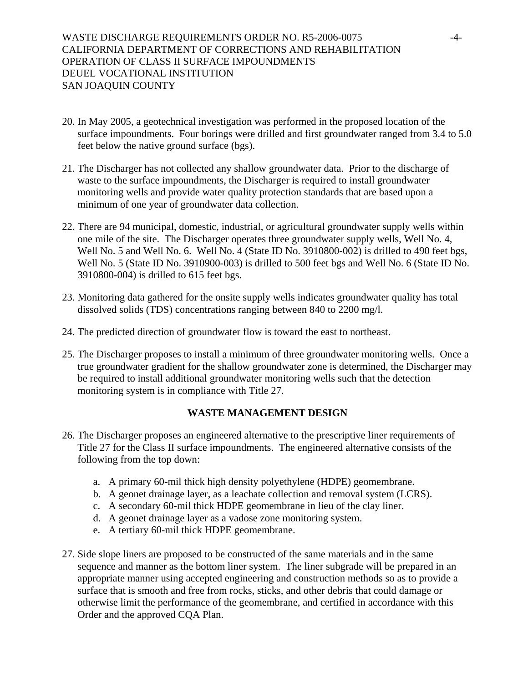- 20. In May 2005, a geotechnical investigation was performed in the proposed location of the surface impoundments. Four borings were drilled and first groundwater ranged from 3.4 to 5.0 feet below the native ground surface (bgs).
- 21. The Discharger has not collected any shallow groundwater data. Prior to the discharge of waste to the surface impoundments, the Discharger is required to install groundwater monitoring wells and provide water quality protection standards that are based upon a minimum of one year of groundwater data collection.
- 22. There are 94 municipal, domestic, industrial, or agricultural groundwater supply wells within one mile of the site. The Discharger operates three groundwater supply wells, Well No. 4, Well No. 5 and Well No. 6. Well No. 4 (State ID No. 3910800-002) is drilled to 490 feet bgs, Well No. 5 (State ID No. 3910900-003) is drilled to 500 feet bgs and Well No. 6 (State ID No. 3910800-004) is drilled to 615 feet bgs.
- 23. Monitoring data gathered for the onsite supply wells indicates groundwater quality has total dissolved solids (TDS) concentrations ranging between 840 to 2200 mg/l.
- 24. The predicted direction of groundwater flow is toward the east to northeast.
- 25. The Discharger proposes to install a minimum of three groundwater monitoring wells. Once a true groundwater gradient for the shallow groundwater zone is determined, the Discharger may be required to install additional groundwater monitoring wells such that the detection monitoring system is in compliance with Title 27.

## **WASTE MANAGEMENT DESIGN**

- 26. The Discharger proposes an engineered alternative to the prescriptive liner requirements of Title 27 for the Class II surface impoundments. The engineered alternative consists of the following from the top down:
	- a. A primary 60-mil thick high density polyethylene (HDPE) geomembrane.
	- b. A geonet drainage layer, as a leachate collection and removal system (LCRS).
	- c. A secondary 60-mil thick HDPE geomembrane in lieu of the clay liner.
	- d. A geonet drainage layer as a vadose zone monitoring system.
	- e. A tertiary 60-mil thick HDPE geomembrane.
- 27. Side slope liners are proposed to be constructed of the same materials and in the same sequence and manner as the bottom liner system. The liner subgrade will be prepared in an appropriate manner using accepted engineering and construction methods so as to provide a surface that is smooth and free from rocks, sticks, and other debris that could damage or otherwise limit the performance of the geomembrane, and certified in accordance with this Order and the approved CQA Plan.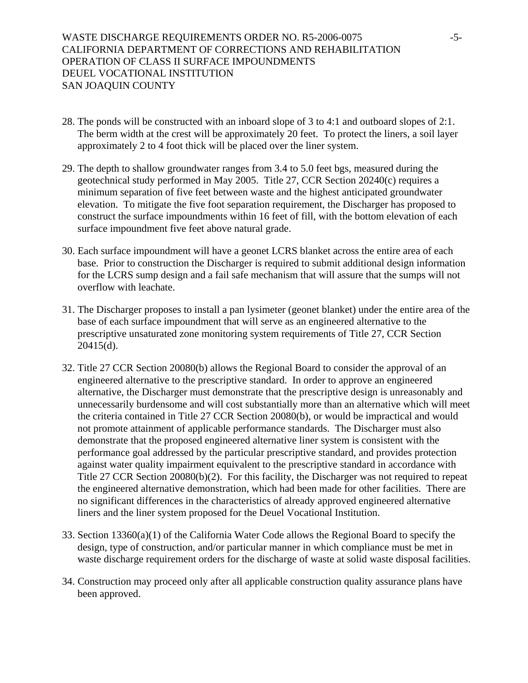- 28. The ponds will be constructed with an inboard slope of 3 to 4:1 and outboard slopes of 2:1. The berm width at the crest will be approximately 20 feet. To protect the liners, a soil layer approximately 2 to 4 foot thick will be placed over the liner system.
- 29. The depth to shallow groundwater ranges from 3.4 to 5.0 feet bgs, measured during the geotechnical study performed in May 2005. Title 27, CCR Section 20240(c) requires a minimum separation of five feet between waste and the highest anticipated groundwater elevation. To mitigate the five foot separation requirement, the Discharger has proposed to construct the surface impoundments within 16 feet of fill, with the bottom elevation of each surface impoundment five feet above natural grade.
- 30. Each surface impoundment will have a geonet LCRS blanket across the entire area of each base. Prior to construction the Discharger is required to submit additional design information for the LCRS sump design and a fail safe mechanism that will assure that the sumps will not overflow with leachate.
- 31. The Discharger proposes to install a pan lysimeter (geonet blanket) under the entire area of the base of each surface impoundment that will serve as an engineered alternative to the prescriptive unsaturated zone monitoring system requirements of Title 27, CCR Section 20415(d).
- 32. Title 27 CCR Section 20080(b) allows the Regional Board to consider the approval of an engineered alternative to the prescriptive standard. In order to approve an engineered alternative, the Discharger must demonstrate that the prescriptive design is unreasonably and unnecessarily burdensome and will cost substantially more than an alternative which will meet the criteria contained in Title 27 CCR Section 20080(b), or would be impractical and would not promote attainment of applicable performance standards. The Discharger must also demonstrate that the proposed engineered alternative liner system is consistent with the performance goal addressed by the particular prescriptive standard, and provides protection against water quality impairment equivalent to the prescriptive standard in accordance with Title 27 CCR Section 20080(b)(2). For this facility, the Discharger was not required to repeat the engineered alternative demonstration, which had been made for other facilities. There are no significant differences in the characteristics of already approved engineered alternative liners and the liner system proposed for the Deuel Vocational Institution.
- 33. Section 13360(a)(1) of the California Water Code allows the Regional Board to specify the design, type of construction, and/or particular manner in which compliance must be met in waste discharge requirement orders for the discharge of waste at solid waste disposal facilities.
- 34. Construction may proceed only after all applicable construction quality assurance plans have been approved.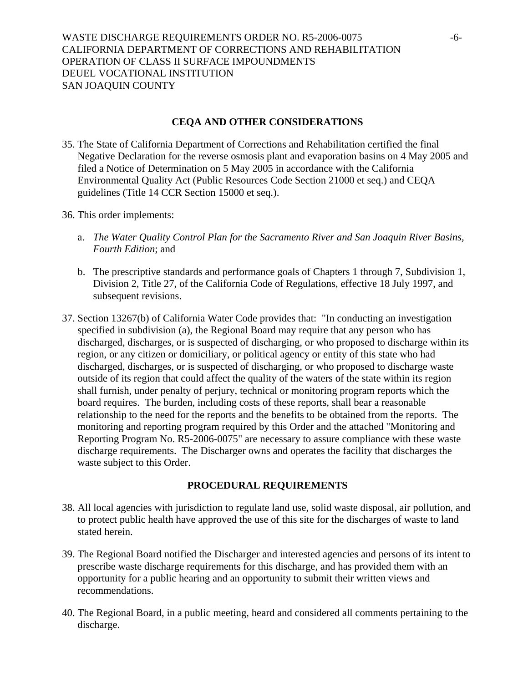## **CEQA AND OTHER CONSIDERATIONS**

- 35. The State of California Department of Corrections and Rehabilitation certified the final Negative Declaration for the reverse osmosis plant and evaporation basins on 4 May 2005 and filed a Notice of Determination on 5 May 2005 in accordance with the California Environmental Quality Act (Public Resources Code Section 21000 et seq.) and CEQA guidelines (Title 14 CCR Section 15000 et seq.).
- 36. This order implements:
	- a. *The Water Quality Control Plan for the Sacramento River and San Joaquin River Basins, Fourth Edition*; and
	- b. The prescriptive standards and performance goals of Chapters 1 through 7, Subdivision 1, Division 2, Title 27, of the California Code of Regulations, effective 18 July 1997, and subsequent revisions.
- 37. Section 13267(b) of California Water Code provides that: "In conducting an investigation specified in subdivision (a), the Regional Board may require that any person who has discharged, discharges, or is suspected of discharging, or who proposed to discharge within its region, or any citizen or domiciliary, or political agency or entity of this state who had discharged, discharges, or is suspected of discharging, or who proposed to discharge waste outside of its region that could affect the quality of the waters of the state within its region shall furnish, under penalty of perjury, technical or monitoring program reports which the board requires. The burden, including costs of these reports, shall bear a reasonable relationship to the need for the reports and the benefits to be obtained from the reports. The monitoring and reporting program required by this Order and the attached "Monitoring and Reporting Program No. R5-2006-0075" are necessary to assure compliance with these waste discharge requirements. The Discharger owns and operates the facility that discharges the waste subject to this Order.

## **PROCEDURAL REQUIREMENTS**

- 38. All local agencies with jurisdiction to regulate land use, solid waste disposal, air pollution, and to protect public health have approved the use of this site for the discharges of waste to land stated herein.
- 39. The Regional Board notified the Discharger and interested agencies and persons of its intent to prescribe waste discharge requirements for this discharge, and has provided them with an opportunity for a public hearing and an opportunity to submit their written views and recommendations.
- 40. The Regional Board, in a public meeting, heard and considered all comments pertaining to the discharge.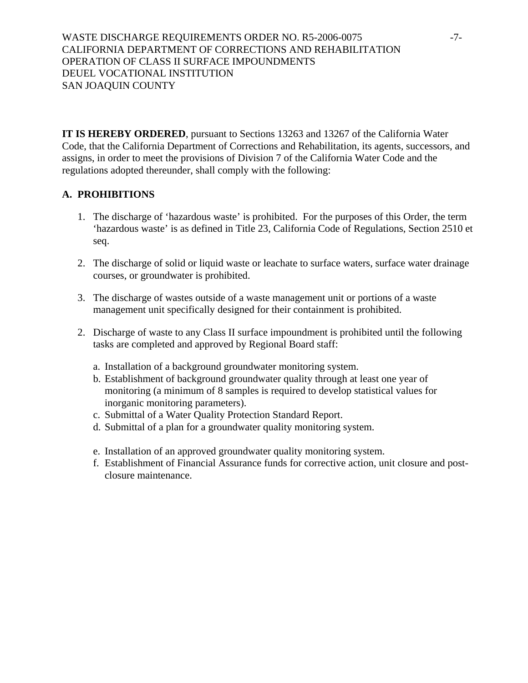WASTE DISCHARGE REQUIREMENTS ORDER NO. R5-2006-0075 -7-CALIFORNIA DEPARTMENT OF CORRECTIONS AND REHABILITATION OPERATION OF CLASS II SURFACE IMPOUNDMENTS DEUEL VOCATIONAL INSTITUTION SAN JOAQUIN COUNTY

**IT IS HEREBY ORDERED**, pursuant to Sections 13263 and 13267 of the California Water Code, that the California Department of Corrections and Rehabilitation, its agents, successors, and assigns, in order to meet the provisions of Division 7 of the California Water Code and the regulations adopted thereunder, shall comply with the following:

# **A. PROHIBITIONS**

- 1. The discharge of 'hazardous waste' is prohibited. For the purposes of this Order, the term 'hazardous waste' is as defined in Title 23, California Code of Regulations, Section 2510 et seq.
- 2. The discharge of solid or liquid waste or leachate to surface waters, surface water drainage courses, or groundwater is prohibited.
- 3. The discharge of wastes outside of a waste management unit or portions of a waste management unit specifically designed for their containment is prohibited.
- 2. Discharge of waste to any Class II surface impoundment is prohibited until the following tasks are completed and approved by Regional Board staff:
	- a. Installation of a background groundwater monitoring system.
	- b. Establishment of background groundwater quality through at least one year of monitoring (a minimum of 8 samples is required to develop statistical values for inorganic monitoring parameters).
	- c. Submittal of a Water Quality Protection Standard Report.
	- d. Submittal of a plan for a groundwater quality monitoring system.
	- e. Installation of an approved groundwater quality monitoring system.
	- f. Establishment of Financial Assurance funds for corrective action, unit closure and postclosure maintenance.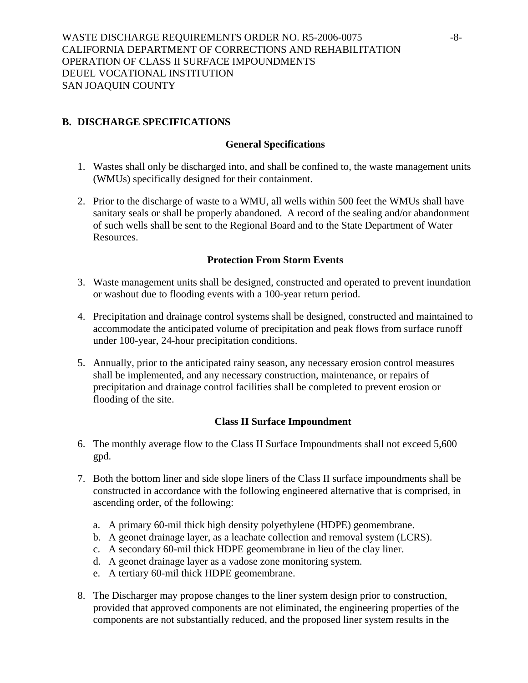# **B. DISCHARGE SPECIFICATIONS**

#### **General Specifications**

- 1. Wastes shall only be discharged into, and shall be confined to, the waste management units (WMUs) specifically designed for their containment.
- 2. Prior to the discharge of waste to a WMU, all wells within 500 feet the WMUs shall have sanitary seals or shall be properly abandoned. A record of the sealing and/or abandonment of such wells shall be sent to the Regional Board and to the State Department of Water Resources.

#### **Protection From Storm Events**

- 3. Waste management units shall be designed, constructed and operated to prevent inundation or washout due to flooding events with a 100-year return period.
- 4. Precipitation and drainage control systems shall be designed, constructed and maintained to accommodate the anticipated volume of precipitation and peak flows from surface runoff under 100-year, 24-hour precipitation conditions.
- 5. Annually, prior to the anticipated rainy season, any necessary erosion control measures shall be implemented, and any necessary construction, maintenance, or repairs of precipitation and drainage control facilities shall be completed to prevent erosion or flooding of the site.

## **Class II Surface Impoundment**

- 6. The monthly average flow to the Class II Surface Impoundments shall not exceed 5,600 gpd.
- 7. Both the bottom liner and side slope liners of the Class II surface impoundments shall be constructed in accordance with the following engineered alternative that is comprised, in ascending order, of the following:
	- a. A primary 60-mil thick high density polyethylene (HDPE) geomembrane.
	- b. A geonet drainage layer, as a leachate collection and removal system (LCRS).
	- c. A secondary 60-mil thick HDPE geomembrane in lieu of the clay liner.
	- d. A geonet drainage layer as a vadose zone monitoring system.
	- e. A tertiary 60-mil thick HDPE geomembrane.
- 8. The Discharger may propose changes to the liner system design prior to construction, provided that approved components are not eliminated, the engineering properties of the components are not substantially reduced, and the proposed liner system results in the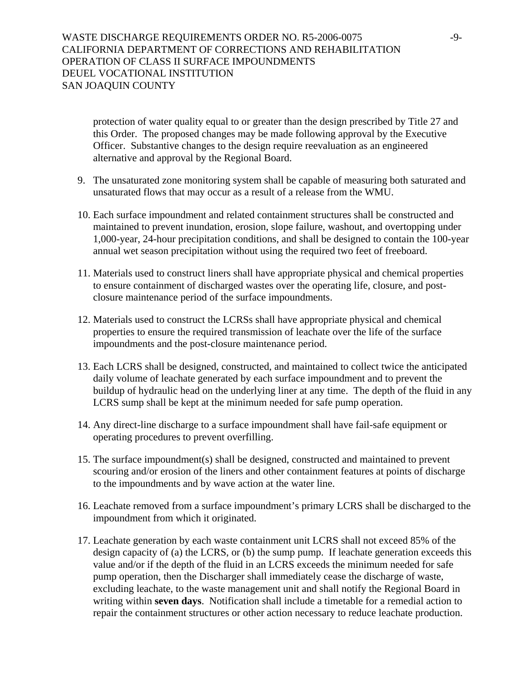protection of water quality equal to or greater than the design prescribed by Title 27 and this Order. The proposed changes may be made following approval by the Executive Officer. Substantive changes to the design require reevaluation as an engineered alternative and approval by the Regional Board.

- 9. The unsaturated zone monitoring system shall be capable of measuring both saturated and unsaturated flows that may occur as a result of a release from the WMU.
- 10. Each surface impoundment and related containment structures shall be constructed and maintained to prevent inundation, erosion, slope failure, washout, and overtopping under 1,000-year, 24-hour precipitation conditions, and shall be designed to contain the 100-year annual wet season precipitation without using the required two feet of freeboard.
- 11. Materials used to construct liners shall have appropriate physical and chemical properties to ensure containment of discharged wastes over the operating life, closure, and postclosure maintenance period of the surface impoundments.
- 12. Materials used to construct the LCRSs shall have appropriate physical and chemical properties to ensure the required transmission of leachate over the life of the surface impoundments and the post-closure maintenance period.
- 13. Each LCRS shall be designed, constructed, and maintained to collect twice the anticipated daily volume of leachate generated by each surface impoundment and to prevent the buildup of hydraulic head on the underlying liner at any time. The depth of the fluid in any LCRS sump shall be kept at the minimum needed for safe pump operation.
- 14. Any direct-line discharge to a surface impoundment shall have fail-safe equipment or operating procedures to prevent overfilling.
- 15. The surface impoundment(s) shall be designed, constructed and maintained to prevent scouring and/or erosion of the liners and other containment features at points of discharge to the impoundments and by wave action at the water line.
- 16. Leachate removed from a surface impoundment's primary LCRS shall be discharged to the impoundment from which it originated.
- 17. Leachate generation by each waste containment unit LCRS shall not exceed 85% of the design capacity of (a) the LCRS, or (b) the sump pump. If leachate generation exceeds this value and/or if the depth of the fluid in an LCRS exceeds the minimum needed for safe pump operation, then the Discharger shall immediately cease the discharge of waste, excluding leachate, to the waste management unit and shall notify the Regional Board in writing within **seven days**. Notification shall include a timetable for a remedial action to repair the containment structures or other action necessary to reduce leachate production.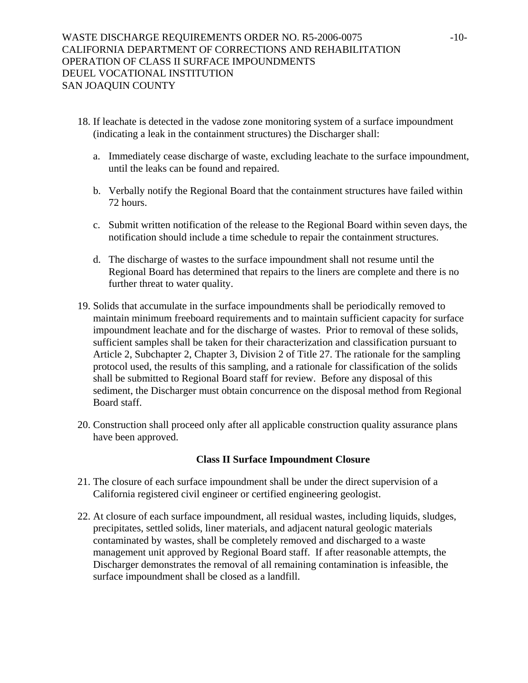- 18. If leachate is detected in the vadose zone monitoring system of a surface impoundment (indicating a leak in the containment structures) the Discharger shall:
	- a. Immediately cease discharge of waste, excluding leachate to the surface impoundment, until the leaks can be found and repaired.
	- b. Verbally notify the Regional Board that the containment structures have failed within 72 hours.
	- c. Submit written notification of the release to the Regional Board within seven days, the notification should include a time schedule to repair the containment structures.
	- d. The discharge of wastes to the surface impoundment shall not resume until the Regional Board has determined that repairs to the liners are complete and there is no further threat to water quality.
- 19. Solids that accumulate in the surface impoundments shall be periodically removed to maintain minimum freeboard requirements and to maintain sufficient capacity for surface impoundment leachate and for the discharge of wastes. Prior to removal of these solids, sufficient samples shall be taken for their characterization and classification pursuant to Article 2, Subchapter 2, Chapter 3, Division 2 of Title 27. The rationale for the sampling protocol used, the results of this sampling, and a rationale for classification of the solids shall be submitted to Regional Board staff for review. Before any disposal of this sediment, the Discharger must obtain concurrence on the disposal method from Regional Board staff.
- 20. Construction shall proceed only after all applicable construction quality assurance plans have been approved.

# **Class II Surface Impoundment Closure**

- 21. The closure of each surface impoundment shall be under the direct supervision of a California registered civil engineer or certified engineering geologist.
- 22. At closure of each surface impoundment, all residual wastes, including liquids, sludges, precipitates, settled solids, liner materials, and adjacent natural geologic materials contaminated by wastes, shall be completely removed and discharged to a waste management unit approved by Regional Board staff. If after reasonable attempts, the Discharger demonstrates the removal of all remaining contamination is infeasible, the surface impoundment shall be closed as a landfill.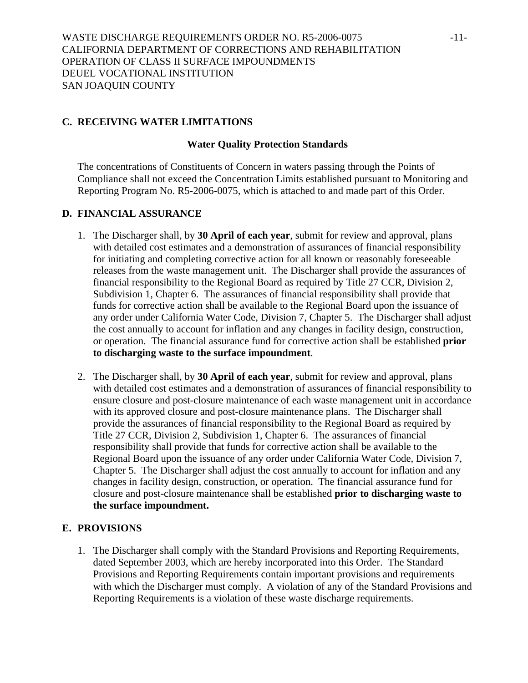# **C. RECEIVING WATER LIMITATIONS**

#### **Water Quality Protection Standards**

The concentrations of Constituents of Concern in waters passing through the Points of Compliance shall not exceed the Concentration Limits established pursuant to Monitoring and Reporting Program No. R5-2006-0075, which is attached to and made part of this Order.

# **D. FINANCIAL ASSURANCE**

- 1. The Discharger shall, by **30 April of each year**, submit for review and approval, plans with detailed cost estimates and a demonstration of assurances of financial responsibility for initiating and completing corrective action for all known or reasonably foreseeable releases from the waste management unit. The Discharger shall provide the assurances of financial responsibility to the Regional Board as required by Title 27 CCR, Division 2, Subdivision 1, Chapter 6. The assurances of financial responsibility shall provide that funds for corrective action shall be available to the Regional Board upon the issuance of any order under California Water Code, Division 7, Chapter 5. The Discharger shall adjust the cost annually to account for inflation and any changes in facility design, construction, or operation. The financial assurance fund for corrective action shall be established **prior to discharging waste to the surface impoundment**.
- 2. The Discharger shall, by **30 April of each year**, submit for review and approval, plans with detailed cost estimates and a demonstration of assurances of financial responsibility to ensure closure and post-closure maintenance of each waste management unit in accordance with its approved closure and post-closure maintenance plans. The Discharger shall provide the assurances of financial responsibility to the Regional Board as required by Title 27 CCR, Division 2, Subdivision 1, Chapter 6. The assurances of financial responsibility shall provide that funds for corrective action shall be available to the Regional Board upon the issuance of any order under California Water Code, Division 7, Chapter 5. The Discharger shall adjust the cost annually to account for inflation and any changes in facility design, construction, or operation. The financial assurance fund for closure and post-closure maintenance shall be established **prior to discharging waste to the surface impoundment.**

## **E. PROVISIONS**

1. The Discharger shall comply with the Standard Provisions and Reporting Requirements, dated September 2003, which are hereby incorporated into this Order. The Standard Provisions and Reporting Requirements contain important provisions and requirements with which the Discharger must comply. A violation of any of the Standard Provisions and Reporting Requirements is a violation of these waste discharge requirements.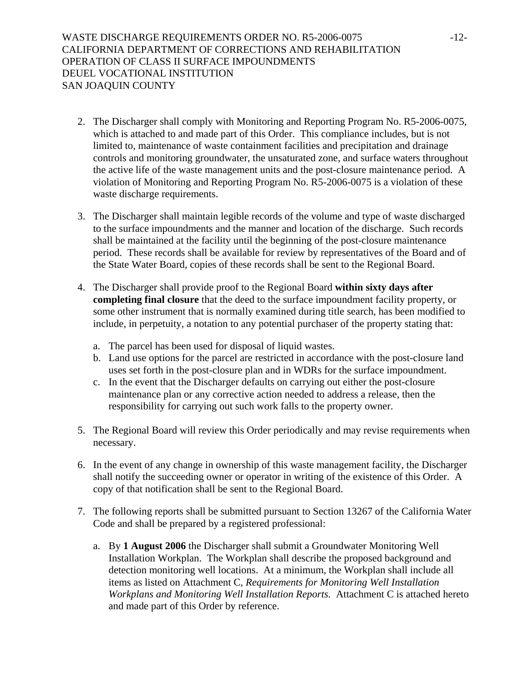WASTE DISCHARGE REQUIREMENTS ORDER NO. R5-2006-0075 -12-CALIFORNIA DEPARTMENT OF CORRECTIONS AND REHABILITATION OPERATION OF CLASS II SURFACE IMPOUNDMENTS DEUEL VOCATIONAL INSTITUTION SAN JOAQUIN COUNTY

- 2. The Discharger shall comply with Monitoring and Reporting Program No. R5-2006-0075, which is attached to and made part of this Order. This compliance includes, but is not limited to, maintenance of waste containment facilities and precipitation and drainage controls and monitoring groundwater, the unsaturated zone, and surface waters throughout the active life of the waste management units and the post-closure maintenance period. A violation of Monitoring and Reporting Program No. R5-2006-0075 is a violation of these waste discharge requirements.
- 3. The Discharger shall maintain legible records of the volume and type of waste discharged to the surface impoundments and the manner and location of the discharge. Such records shall be maintained at the facility until the beginning of the post-closure maintenance period. These records shall be available for review by representatives of the Board and of the State Water Board, copies of these records shall be sent to the Regional Board.
- 4. The Discharger shall provide proof to the Regional Board **within sixty days after completing final closure** that the deed to the surface impoundment facility property, or some other instrument that is normally examined during title search, has been modified to include, in perpetuity, a notation to any potential purchaser of the property stating that:
	- a. The parcel has been used for disposal of liquid wastes.
	- b. Land use options for the parcel are restricted in accordance with the post-closure land uses set forth in the post-closure plan and in WDRs for the surface impoundment.
	- c. In the event that the Discharger defaults on carrying out either the post-closure maintenance plan or any corrective action needed to address a release, then the responsibility for carrying out such work falls to the property owner.
- 5. The Regional Board will review this Order periodically and may revise requirements when necessary.
- 6. In the event of any change in ownership of this waste management facility, the Discharger shall notify the succeeding owner or operator in writing of the existence of this Order. A copy of that notification shall be sent to the Regional Board.
- 7. The following reports shall be submitted pursuant to Section 13267 of the California Water Code and shall be prepared by a registered professional:
	- a. By **1 August 2006** the Discharger shall submit a Groundwater Monitoring Well Installation Workplan. The Workplan shall describe the proposed background and detection monitoring well locations. At a minimum, the Workplan shall include all items as listed on Attachment C, *Requirements for Monitoring Well Installation Workplans and Monitoring Well Installation Reports.* Attachment C is attached hereto and made part of this Order by reference.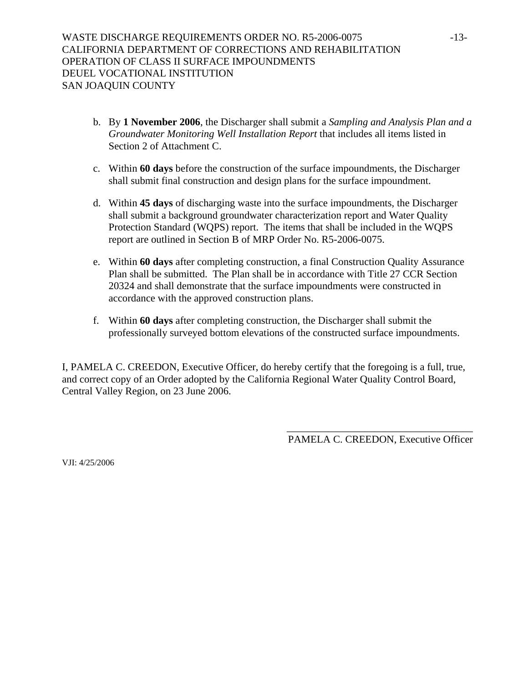- b. By **1 November 2006**, the Discharger shall submit a *Sampling and Analysis Plan and a Groundwater Monitoring Well Installation Report* that includes all items listed in Section 2 of Attachment C.
- c. Within **60 days** before the construction of the surface impoundments, the Discharger shall submit final construction and design plans for the surface impoundment.
- d. Within **45 days** of discharging waste into the surface impoundments, the Discharger shall submit a background groundwater characterization report and Water Quality Protection Standard (WQPS) report. The items that shall be included in the WQPS report are outlined in Section B of MRP Order No. R5-2006-0075.
- e. Within **60 days** after completing construction, a final Construction Quality Assurance Plan shall be submitted. The Plan shall be in accordance with Title 27 CCR Section 20324 and shall demonstrate that the surface impoundments were constructed in accordance with the approved construction plans.
- f. Within **60 days** after completing construction, the Discharger shall submit the professionally surveyed bottom elevations of the constructed surface impoundments.

I, PAMELA C. CREEDON, Executive Officer, do hereby certify that the foregoing is a full, true, and correct copy of an Order adopted by the California Regional Water Quality Control Board, Central Valley Region, on 23 June 2006.

> \_\_\_\_\_\_\_\_\_\_\_\_\_\_\_\_\_\_\_\_\_\_\_\_\_\_\_\_\_\_\_\_\_\_\_\_ PAMELA C. CREEDON, Executive Officer

VJI: 4/25/2006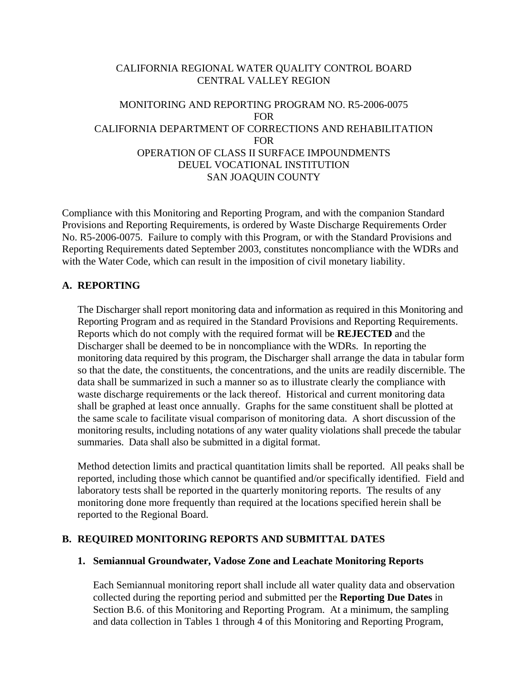# CALIFORNIA REGIONAL WATER QUALITY CONTROL BOARD CENTRAL VALLEY REGION

# MONITORING AND REPORTING PROGRAM NO. R5-2006-0075 FOR CALIFORNIA DEPARTMENT OF CORRECTIONS AND REHABILITATION FOR OPERATION OF CLASS II SURFACE IMPOUNDMENTS DEUEL VOCATIONAL INSTITUTION SAN JOAQUIN COUNTY

Compliance with this Monitoring and Reporting Program, and with the companion Standard Provisions and Reporting Requirements, is ordered by Waste Discharge Requirements Order No. R5-2006-0075. Failure to comply with this Program, or with the Standard Provisions and Reporting Requirements dated September 2003, constitutes noncompliance with the WDRs and with the Water Code, which can result in the imposition of civil monetary liability.

## **A. REPORTING**

The Discharger shall report monitoring data and information as required in this Monitoring and Reporting Program and as required in the Standard Provisions and Reporting Requirements. Reports which do not comply with the required format will be **REJECTED** and the Discharger shall be deemed to be in noncompliance with the WDRs. In reporting the monitoring data required by this program, the Discharger shall arrange the data in tabular form so that the date, the constituents, the concentrations, and the units are readily discernible. The data shall be summarized in such a manner so as to illustrate clearly the compliance with waste discharge requirements or the lack thereof. Historical and current monitoring data shall be graphed at least once annually. Graphs for the same constituent shall be plotted at the same scale to facilitate visual comparison of monitoring data. A short discussion of the monitoring results, including notations of any water quality violations shall precede the tabular summaries. Data shall also be submitted in a digital format.

Method detection limits and practical quantitation limits shall be reported. All peaks shall be reported, including those which cannot be quantified and/or specifically identified. Field and laboratory tests shall be reported in the quarterly monitoring reports. The results of any monitoring done more frequently than required at the locations specified herein shall be reported to the Regional Board.

# **B. REQUIRED MONITORING REPORTS AND SUBMITTAL DATES**

## **1. Semiannual Groundwater, Vadose Zone and Leachate Monitoring Reports**

Each Semiannual monitoring report shall include all water quality data and observation collected during the reporting period and submitted per the **Reporting Due Dates** in Section B.6. of this Monitoring and Reporting Program. At a minimum, the sampling and data collection in Tables 1 through 4 of this Monitoring and Reporting Program,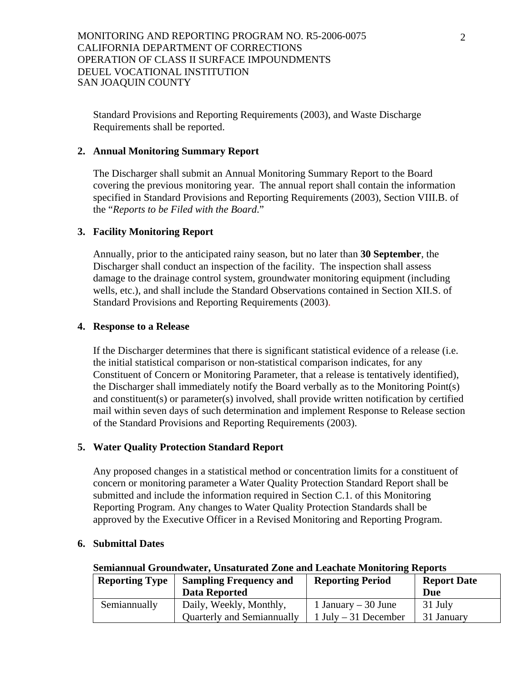Standard Provisions and Reporting Requirements (2003), and Waste Discharge Requirements shall be reported.

# **2. Annual Monitoring Summary Report**

The Discharger shall submit an Annual Monitoring Summary Report to the Board covering the previous monitoring year. The annual report shall contain the information specified in Standard Provisions and Reporting Requirements (2003), Section VIII.B. of the "*Reports to be Filed with the Board*."

# **3. Facility Monitoring Report**

Annually, prior to the anticipated rainy season, but no later than **30 September**, the Discharger shall conduct an inspection of the facility. The inspection shall assess damage to the drainage control system, groundwater monitoring equipment (including wells, etc.), and shall include the Standard Observations contained in Section XII.S. of Standard Provisions and Reporting Requirements (2003).

## **4. Response to a Release**

If the Discharger determines that there is significant statistical evidence of a release (i.e. the initial statistical comparison or non-statistical comparison indicates, for any Constituent of Concern or Monitoring Parameter, that a release is tentatively identified), the Discharger shall immediately notify the Board verbally as to the Monitoring Point(s) and constituent(s) or parameter(s) involved, shall provide written notification by certified mail within seven days of such determination and implement Response to Release section of the Standard Provisions and Reporting Requirements (2003).

## **5. Water Quality Protection Standard Report**

Any proposed changes in a statistical method or concentration limits for a constituent of concern or monitoring parameter a Water Quality Protection Standard Report shall be submitted and include the information required in Section C.1. of this Monitoring Reporting Program. Any changes to Water Quality Protection Standards shall be approved by the Executive Officer in a Revised Monitoring and Reporting Program.

| <b>Reporting Type</b> | <b>Sampling Frequency and</b>     | <b>Reporting Period</b> | <b>Report Date</b> |
|-----------------------|-----------------------------------|-------------------------|--------------------|
|                       | Data Reported                     |                         | Due                |
| Semiannually          | Daily, Weekly, Monthly,           | 1 January $-30$ June    | 31 July            |
|                       | <b>Quarterly and Semiannually</b> | $1$ July – 31 December  | 31 January         |

## **6. Submittal Dates**

#### **Semiannual Groundwater, Unsaturated Zone and Leachate Monitoring Reports**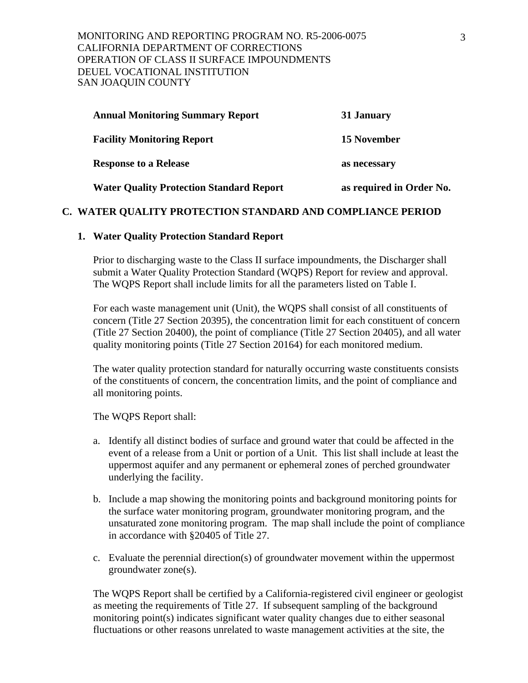| <b>Annual Monitoring Summary Report</b>         | 31 January               |
|-------------------------------------------------|--------------------------|
| <b>Facility Monitoring Report</b>               | <b>15 November</b>       |
| <b>Response to a Release</b>                    | as necessary             |
| <b>Water Quality Protection Standard Report</b> | as required in Order No. |

## **C. WATER QUALITY PROTECTION STANDARD AND COMPLIANCE PERIOD**

#### **1. Water Quality Protection Standard Report**

Prior to discharging waste to the Class II surface impoundments, the Discharger shall submit a Water Quality Protection Standard (WQPS) Report for review and approval. The WQPS Report shall include limits for all the parameters listed on Table I.

For each waste management unit (Unit), the WQPS shall consist of all constituents of concern (Title 27 Section 20395), the concentration limit for each constituent of concern (Title 27 Section 20400), the point of compliance (Title 27 Section 20405), and all water quality monitoring points (Title 27 Section 20164) for each monitored medium.

The water quality protection standard for naturally occurring waste constituents consists of the constituents of concern, the concentration limits, and the point of compliance and all monitoring points.

The WQPS Report shall:

- a. Identify all distinct bodies of surface and ground water that could be affected in the event of a release from a Unit or portion of a Unit. This list shall include at least the uppermost aquifer and any permanent or ephemeral zones of perched groundwater underlying the facility.
- b. Include a map showing the monitoring points and background monitoring points for the surface water monitoring program, groundwater monitoring program, and the unsaturated zone monitoring program. The map shall include the point of compliance in accordance with §20405 of Title 27.
- c. Evaluate the perennial direction(s) of groundwater movement within the uppermost groundwater zone(s).

The WQPS Report shall be certified by a California-registered civil engineer or geologist as meeting the requirements of Title 27. If subsequent sampling of the background monitoring point(s) indicates significant water quality changes due to either seasonal fluctuations or other reasons unrelated to waste management activities at the site, the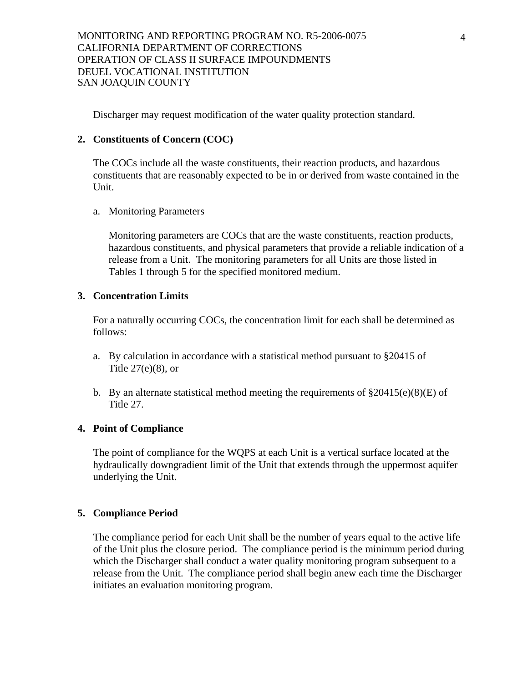Discharger may request modification of the water quality protection standard.

## **2. Constituents of Concern (COC)**

The COCs include all the waste constituents, their reaction products, and hazardous constituents that are reasonably expected to be in or derived from waste contained in the Unit.

## a. Monitoring Parameters

Monitoring parameters are COCs that are the waste constituents, reaction products, hazardous constituents, and physical parameters that provide a reliable indication of a release from a Unit. The monitoring parameters for all Units are those listed in Tables 1 through 5 for the specified monitored medium.

# **3. Concentration Limits**

For a naturally occurring COCs, the concentration limit for each shall be determined as follows:

- a. By calculation in accordance with a statistical method pursuant to §20415 of Title 27(e)(8), or
- b. By an alternate statistical method meeting the requirements of  $\S 20415(e)(8)(E)$  of Title 27.

## **4. Point of Compliance**

The point of compliance for the WQPS at each Unit is a vertical surface located at the hydraulically downgradient limit of the Unit that extends through the uppermost aquifer underlying the Unit.

# **5. Compliance Period**

The compliance period for each Unit shall be the number of years equal to the active life of the Unit plus the closure period. The compliance period is the minimum period during which the Discharger shall conduct a water quality monitoring program subsequent to a release from the Unit. The compliance period shall begin anew each time the Discharger initiates an evaluation monitoring program.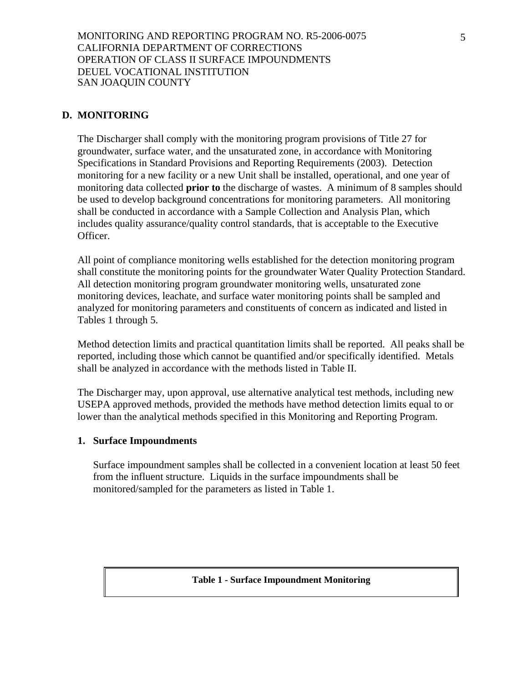# **D. MONITORING**

The Discharger shall comply with the monitoring program provisions of Title 27 for groundwater, surface water, and the unsaturated zone, in accordance with Monitoring Specifications in Standard Provisions and Reporting Requirements (2003). Detection monitoring for a new facility or a new Unit shall be installed, operational, and one year of monitoring data collected **prior to** the discharge of wastes. A minimum of 8 samples should be used to develop background concentrations for monitoring parameters. All monitoring shall be conducted in accordance with a Sample Collection and Analysis Plan, which includes quality assurance/quality control standards, that is acceptable to the Executive Officer.

All point of compliance monitoring wells established for the detection monitoring program shall constitute the monitoring points for the groundwater Water Quality Protection Standard. All detection monitoring program groundwater monitoring wells, unsaturated zone monitoring devices, leachate, and surface water monitoring points shall be sampled and analyzed for monitoring parameters and constituents of concern as indicated and listed in Tables 1 through 5.

Method detection limits and practical quantitation limits shall be reported. All peaks shall be reported, including those which cannot be quantified and/or specifically identified. Metals shall be analyzed in accordance with the methods listed in Table II.

The Discharger may, upon approval, use alternative analytical test methods, including new USEPA approved methods, provided the methods have method detection limits equal to or lower than the analytical methods specified in this Monitoring and Reporting Program.

#### **1. Surface Impoundments**

Surface impoundment samples shall be collected in a convenient location at least 50 feet from the influent structure. Liquids in the surface impoundments shall be monitored/sampled for the parameters as listed in Table 1.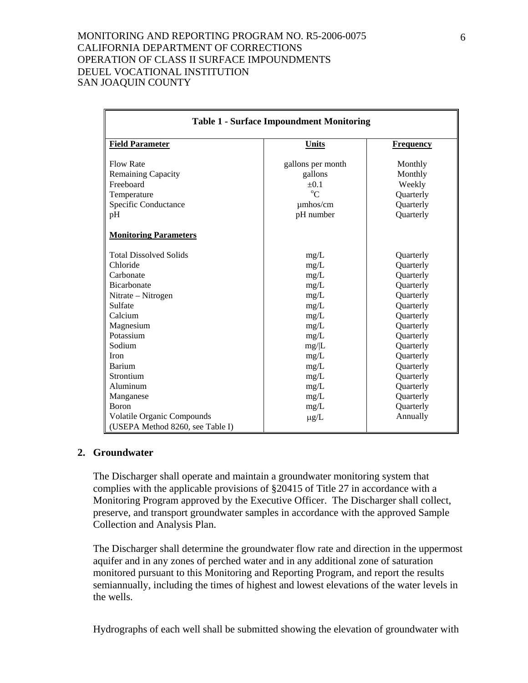| <b>Table 1 - Surface Impoundment Monitoring</b>                                                                               |                                                                                                                                                                                                                          |  |  |
|-------------------------------------------------------------------------------------------------------------------------------|--------------------------------------------------------------------------------------------------------------------------------------------------------------------------------------------------------------------------|--|--|
| <b>Units</b>                                                                                                                  | <b>Frequency</b>                                                                                                                                                                                                         |  |  |
| gallons per month<br>gallons<br>$+0.1$<br>$\rm ^{o}C$<br>$\mu$ mhos/cm<br>pH number                                           | Monthly<br>Monthly<br>Weekly<br>Quarterly<br>Quarterly<br>Quarterly                                                                                                                                                      |  |  |
|                                                                                                                               |                                                                                                                                                                                                                          |  |  |
| mg/L<br>mg/L<br>mg/L<br>mg/L<br>mg/L<br>mg/L<br>mg/L<br>mg/L<br>mg/L<br>mg/ L<br>mg/L<br>mg/L<br>mg/L<br>mg/L<br>mg/L<br>mg/L | Quarterly<br>Quarterly<br>Quarterly<br>Quarterly<br>Quarterly<br>Quarterly<br>Quarterly<br>Quarterly<br>Quarterly<br>Quarterly<br>Quarterly<br>Quarterly<br>Quarterly<br>Quarterly<br>Quarterly<br>Quarterly<br>Annually |  |  |
|                                                                                                                               | $\mu g/L$                                                                                                                                                                                                                |  |  |

## **2. Groundwater**

The Discharger shall operate and maintain a groundwater monitoring system that complies with the applicable provisions of §20415 of Title 27 in accordance with a Monitoring Program approved by the Executive Officer. The Discharger shall collect, preserve, and transport groundwater samples in accordance with the approved Sample Collection and Analysis Plan.

The Discharger shall determine the groundwater flow rate and direction in the uppermost aquifer and in any zones of perched water and in any additional zone of saturation monitored pursuant to this Monitoring and Reporting Program, and report the results semiannually, including the times of highest and lowest elevations of the water levels in the wells.

Hydrographs of each well shall be submitted showing the elevation of groundwater with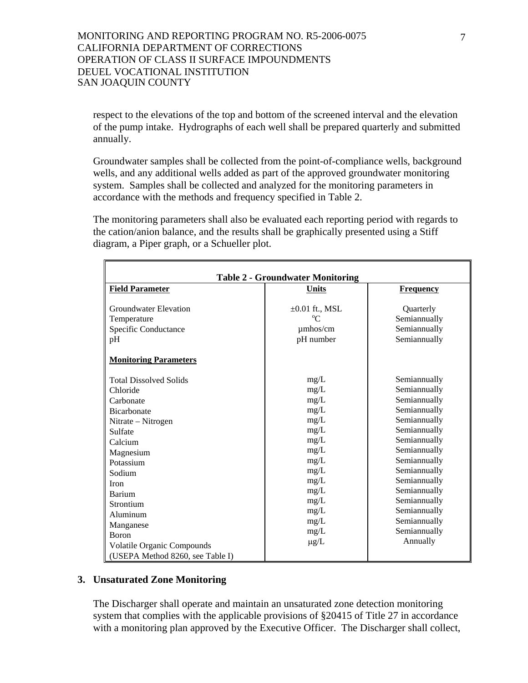respect to the elevations of the top and bottom of the screened interval and the elevation of the pump intake. Hydrographs of each well shall be prepared quarterly and submitted annually.

Groundwater samples shall be collected from the point-of-compliance wells, background wells, and any additional wells added as part of the approved groundwater monitoring system. Samples shall be collected and analyzed for the monitoring parameters in accordance with the methods and frequency specified in Table 2.

The monitoring parameters shall also be evaluated each reporting period with regards to the cation/anion balance, and the results shall be graphically presented using a Stiff diagram, a Piper graph, or a Schueller plot.

| <b>Table 2 - Groundwater Monitoring</b>                                                                                                                                                                                                     |                                                                                                                                           |                                                                                                                                                                                                                                                                          |  |
|---------------------------------------------------------------------------------------------------------------------------------------------------------------------------------------------------------------------------------------------|-------------------------------------------------------------------------------------------------------------------------------------------|--------------------------------------------------------------------------------------------------------------------------------------------------------------------------------------------------------------------------------------------------------------------------|--|
| <b>Field Parameter</b>                                                                                                                                                                                                                      | <b>Units</b>                                                                                                                              | <b>Frequency</b>                                                                                                                                                                                                                                                         |  |
| <b>Groundwater Elevation</b><br>Temperature<br>Specific Conductance<br>pH                                                                                                                                                                   | $\pm 0.01$ ft., MSL<br>$^{\rm o}$ C<br>$\mu$ mhos/cm<br>pH number                                                                         | Quarterly<br>Semiannually<br>Semiannually<br>Semiannually                                                                                                                                                                                                                |  |
| <b>Monitoring Parameters</b>                                                                                                                                                                                                                |                                                                                                                                           |                                                                                                                                                                                                                                                                          |  |
| <b>Total Dissolved Solids</b><br>Chloride<br>Carbonate<br><b>Bicarbonate</b><br>Nitrate - Nitrogen<br>Sulfate<br>Calcium<br>Magnesium<br>Potassium<br>Sodium<br><b>Iron</b><br>Barium<br>Strontium<br>Aluminum<br>Manganese<br><b>Boron</b> | mg/L<br>mg/L<br>mg/L<br>mg/L<br>mg/L<br>mg/L<br>mg/L<br>mg/L<br>mg/L<br>mg/L<br>mg/L<br>mg/L<br>mg/L<br>mg/L<br>mg/L<br>mg/L<br>$\mu$ g/L | Semiannually<br>Semiannually<br>Semiannually<br>Semiannually<br>Semiannually<br>Semiannually<br>Semiannually<br>Semiannually<br>Semiannually<br>Semiannually<br>Semiannually<br>Semiannually<br>Semiannually<br>Semiannually<br>Semiannually<br>Semiannually<br>Annually |  |
| <b>Volatile Organic Compounds</b><br>(USEPA Method 8260, see Table I)                                                                                                                                                                       |                                                                                                                                           |                                                                                                                                                                                                                                                                          |  |

## **3. Unsaturated Zone Monitoring**

The Discharger shall operate and maintain an unsaturated zone detection monitoring system that complies with the applicable provisions of §20415 of Title 27 in accordance with a monitoring plan approved by the Executive Officer. The Discharger shall collect,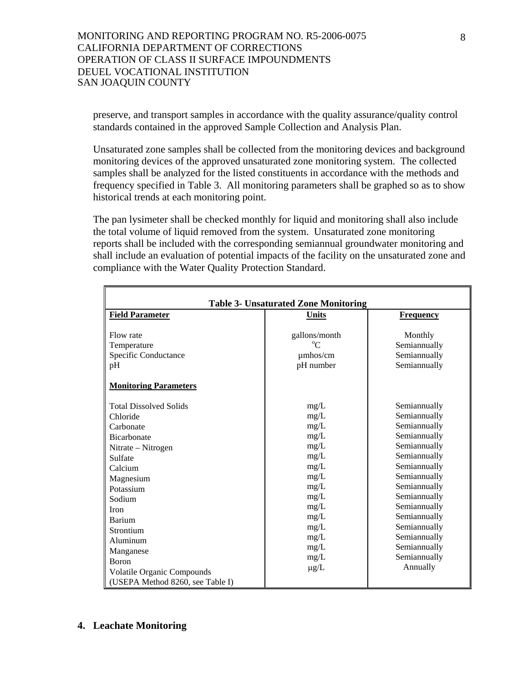preserve, and transport samples in accordance with the quality assurance/quality control standards contained in the approved Sample Collection and Analysis Plan.

Unsaturated zone samples shall be collected from the monitoring devices and background monitoring devices of the approved unsaturated zone monitoring system. The collected samples shall be analyzed for the listed constituents in accordance with the methods and frequency specified in Table 3. All monitoring parameters shall be graphed so as to show historical trends at each monitoring point.

The pan lysimeter shall be checked monthly for liquid and monitoring shall also include the total volume of liquid removed from the system. Unsaturated zone monitoring reports shall be included with the corresponding semiannual groundwater monitoring and shall include an evaluation of potential impacts of the facility on the unsaturated zone and compliance with the Water Quality Protection Standard.

| <b>Table 3- Unsaturated Zone Monitoring</b>                                                                                                                                                                                                 |                                                                                                                              |                                                                                                                                                                                                                                                              |  |
|---------------------------------------------------------------------------------------------------------------------------------------------------------------------------------------------------------------------------------------------|------------------------------------------------------------------------------------------------------------------------------|--------------------------------------------------------------------------------------------------------------------------------------------------------------------------------------------------------------------------------------------------------------|--|
| <b>Field Parameter</b>                                                                                                                                                                                                                      | <b>Units</b>                                                                                                                 | <b>Frequency</b>                                                                                                                                                                                                                                             |  |
| Flow rate<br>Temperature<br>Specific Conductance                                                                                                                                                                                            | gallons/month<br>umhos/cm                                                                                                    | Monthly<br>Semiannually<br>Semiannually                                                                                                                                                                                                                      |  |
| pH                                                                                                                                                                                                                                          | pH number                                                                                                                    | Semiannually                                                                                                                                                                                                                                                 |  |
| <b>Monitoring Parameters</b>                                                                                                                                                                                                                |                                                                                                                              |                                                                                                                                                                                                                                                              |  |
| <b>Total Dissolved Solids</b><br>Chloride<br>Carbonate<br><b>Bicarbonate</b><br>Nitrate - Nitrogen<br>Sulfate<br>Calcium<br>Magnesium<br>Potassium<br>Sodium<br><b>Iron</b><br>Barium<br>Strontium<br>Aluminum<br>Manganese<br><b>Boron</b> | mg/L<br>mg/L<br>mg/L<br>mg/L<br>mg/L<br>mg/L<br>mg/L<br>mg/L<br>mg/L<br>mg/L<br>mg/L<br>mg/L<br>mg/L<br>mg/L<br>mg/L<br>mg/L | Semiannually<br>Semiannually<br>Semiannually<br>Semiannually<br>Semiannually<br>Semiannually<br>Semiannually<br>Semiannually<br>Semiannually<br>Semiannually<br>Semiannually<br>Semiannually<br>Semiannually<br>Semiannually<br>Semiannually<br>Semiannually |  |
| <b>Volatile Organic Compounds</b><br>(USEPA Method 8260, see Table I)                                                                                                                                                                       | $\mu$ g/L                                                                                                                    | Annually                                                                                                                                                                                                                                                     |  |

#### **4. Leachate Monitoring**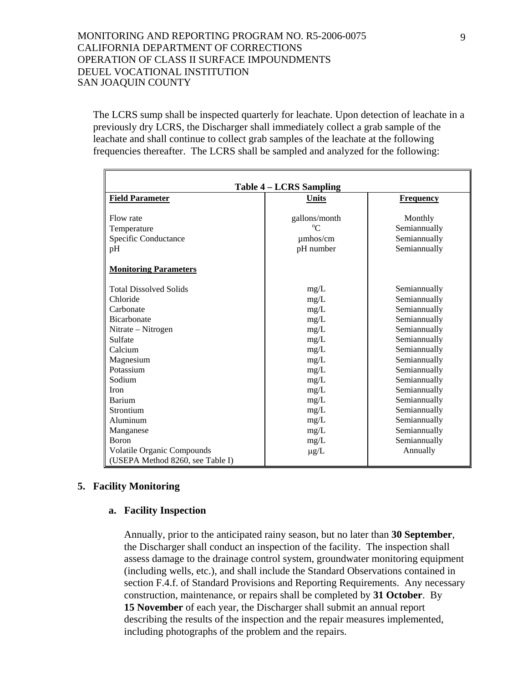The LCRS sump shall be inspected quarterly for leachate. Upon detection of leachate in a previously dry LCRS, the Discharger shall immediately collect a grab sample of the leachate and shall continue to collect grab samples of the leachate at the following frequencies thereafter. The LCRS shall be sampled and analyzed for the following:

| <b>Table 4 – LCRS Sampling</b>    |               |                  |  |
|-----------------------------------|---------------|------------------|--|
| <b>Field Parameter</b>            | <b>Units</b>  | <b>Frequency</b> |  |
| Flow rate                         | gallons/month | Monthly          |  |
| Temperature                       |               | Semiannually     |  |
| Specific Conductance              | umhos/cm      | Semiannually     |  |
| pH                                | pH number     | Semiannually     |  |
| <b>Monitoring Parameters</b>      |               |                  |  |
| <b>Total Dissolved Solids</b>     | mg/L          | Semiannually     |  |
| Chloride                          | mg/L          | Semiannually     |  |
| Carbonate                         | mg/L          | Semiannually     |  |
| <b>Bicarbonate</b>                | mg/L          | Semiannually     |  |
| Nitrate – Nitrogen                | mg/L          | Semiannually     |  |
| Sulfate                           | mg/L          | Semiannually     |  |
| Calcium                           | mg/L          | Semiannually     |  |
| Magnesium                         | mg/L          | Semiannually     |  |
| Potassium                         | mg/L          | Semiannually     |  |
| Sodium                            | mg/L          | Semiannually     |  |
| <b>Iron</b>                       | mg/L          | Semiannually     |  |
| Barium                            | mg/L          | Semiannually     |  |
| Strontium                         | mg/L          | Semiannually     |  |
| Aluminum                          | mg/L          | Semiannually     |  |
| Manganese                         | mg/L          | Semiannually     |  |
| <b>Boron</b>                      | mg/L          | Semiannually     |  |
| <b>Volatile Organic Compounds</b> | $\mu$ g/L     | Annually         |  |
| (USEPA Method 8260, see Table I)  |               |                  |  |

#### **5. Facility Monitoring**

#### **a. Facility Inspection**

Annually, prior to the anticipated rainy season, but no later than **30 September**, the Discharger shall conduct an inspection of the facility. The inspection shall assess damage to the drainage control system, groundwater monitoring equipment (including wells, etc.), and shall include the Standard Observations contained in section F.4.f. of Standard Provisions and Reporting Requirements. Any necessary construction, maintenance, or repairs shall be completed by **31 October**. By **15 November** of each year, the Discharger shall submit an annual report describing the results of the inspection and the repair measures implemented, including photographs of the problem and the repairs.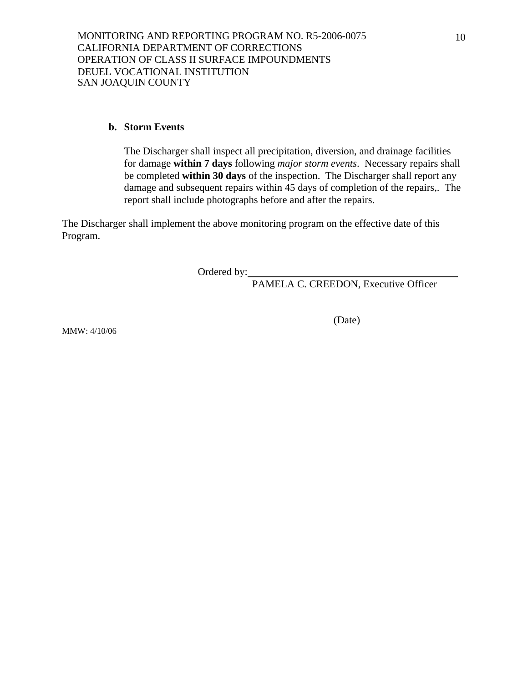#### **b. Storm Events**

The Discharger shall inspect all precipitation, diversion, and drainage facilities for damage **within 7 days** following *major storm events*. Necessary repairs shall be completed **within 30 days** of the inspection. The Discharger shall report any damage and subsequent repairs within 45 days of completion of the repairs,. The report shall include photographs before and after the repairs.

The Discharger shall implement the above monitoring program on the effective date of this Program.

Ordered by:

PAMELA C. CREEDON, Executive Officer

(Date)

MMW: 4/10/06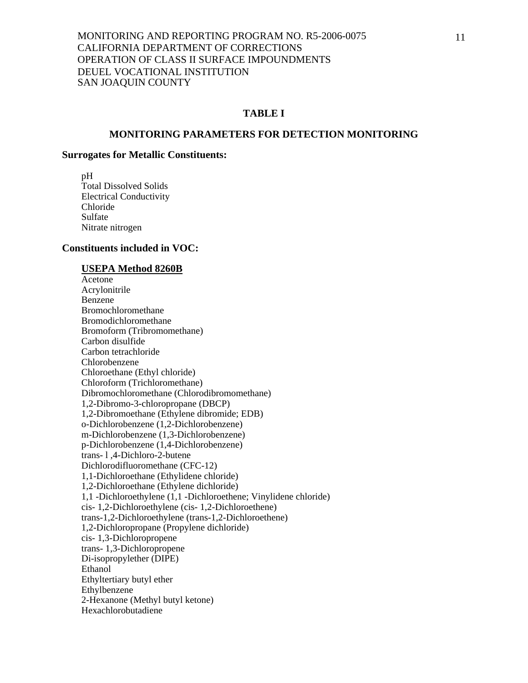# **TABLE I**

#### **MONITORING PARAMETERS FOR DETECTION MONITORING**

#### **Surrogates for Metallic Constituents:**

 pH Total Dissolved Solids Electrical Conductivity Chloride Sulfate Nitrate nitrogen

#### **Constituents included in VOC:**

#### **USEPA Method 8260B**

 Acetone Acrylonitrile Benzene Bromochloromethane Bromodichloromethane Bromoform (Tribromomethane) Carbon disulfide Carbon tetrachloride Chlorobenzene Chloroethane (Ethyl chloride) Chloroform (Trichloromethane) Dibromochloromethane (Chlorodibromomethane) 1,2-Dibromo-3-chloropropane (DBCP) 1,2-Dibromoethane (Ethylene dibromide; EDB) o-Dichlorobenzene (1,2-Dichlorobenzene) m-Dichlorobenzene (1,3-Dichlorobenzene) p-Dichlorobenzene (1,4-Dichlorobenzene) trans- l ,4-Dichloro-2-butene Dichlorodifluoromethane (CFC-12) 1,1-Dichloroethane (Ethylidene chloride) 1,2-Dichloroethane (Ethylene dichloride) 1,1 -Dichloroethylene (1,1 -Dichloroethene; Vinylidene chloride) cis- 1,2-Dichloroethylene (cis- 1,2-Dichloroethene) trans-1,2-Dichloroethylene (trans-1,2-Dichloroethene) 1,2-Dichloropropane (Propylene dichloride) cis- 1,3-Dichloropropene trans- 1,3-Dichloropropene Di-isopropylether (DIPE) Ethanol Ethyltertiary butyl ether Ethylbenzene 2-Hexanone (Methyl butyl ketone) Hexachlorobutadiene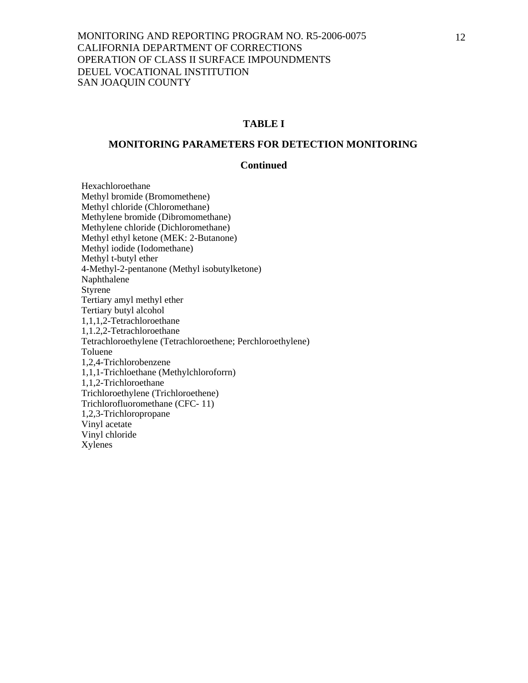## **TABLE I**

#### **MONITORING PARAMETERS FOR DETECTION MONITORING**

#### **Continued**

 Hexachloroethane Methyl bromide (Bromomethene) Methyl chloride (Chloromethane) Methylene bromide (Dibromomethane) Methylene chloride (Dichloromethane) Methyl ethyl ketone (MEK: 2-Butanone) Methyl iodide (Iodomethane) Methyl t-butyl ether 4-Methyl-2-pentanone (Methyl isobutylketone) Naphthalene Styrene Tertiary amyl methyl ether Tertiary butyl alcohol 1,1,1,2-Tetrachloroethane 1,1.2,2-Tetrachloroethane Tetrachloroethylene (Tetrachloroethene; Perchloroethylene) Toluene 1,2,4-Trichlorobenzene 1,1,1-Trichloethane (Methylchloroforrn) 1,1,2-Trichloroethane Trichloroethylene (Trichloroethene) Trichlorofluoromethane (CFC- 11) 1,2,3-Trichloropropane Vinyl acetate Vinyl chloride Xylenes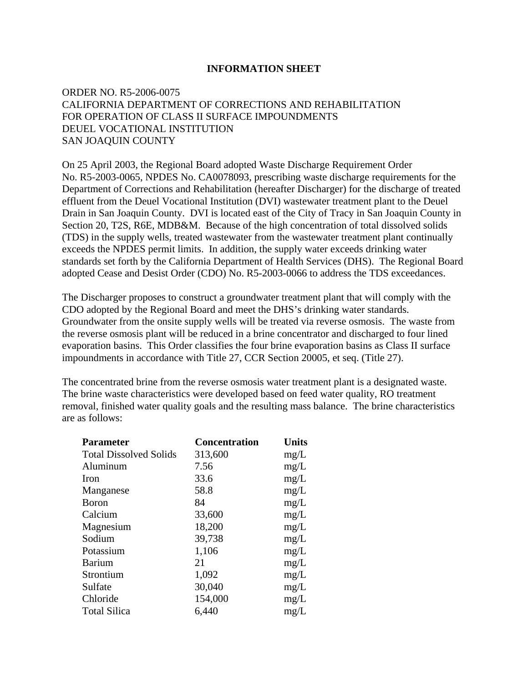## **INFORMATION SHEET**

# ORDER NO. R5-2006-0075 CALIFORNIA DEPARTMENT OF CORRECTIONS AND REHABILITATION FOR OPERATION OF CLASS II SURFACE IMPOUNDMENTS DEUEL VOCATIONAL INSTITUTION SAN JOAQUIN COUNTY

On 25 April 2003, the Regional Board adopted Waste Discharge Requirement Order No. R5-2003-0065, NPDES No. CA0078093, prescribing waste discharge requirements for the Department of Corrections and Rehabilitation (hereafter Discharger) for the discharge of treated effluent from the Deuel Vocational Institution (DVI) wastewater treatment plant to the Deuel Drain in San Joaquin County. DVI is located east of the City of Tracy in San Joaquin County in Section 20, T2S, R6E, MDB&M. Because of the high concentration of total dissolved solids (TDS) in the supply wells, treated wastewater from the wastewater treatment plant continually exceeds the NPDES permit limits. In addition, the supply water exceeds drinking water standards set forth by the California Department of Health Services (DHS). The Regional Board adopted Cease and Desist Order (CDO) No. R5-2003-0066 to address the TDS exceedances.

The Discharger proposes to construct a groundwater treatment plant that will comply with the CDO adopted by the Regional Board and meet the DHS's drinking water standards. Groundwater from the onsite supply wells will be treated via reverse osmosis. The waste from the reverse osmosis plant will be reduced in a brine concentrator and discharged to four lined evaporation basins. This Order classifies the four brine evaporation basins as Class II surface impoundments in accordance with Title 27, CCR Section 20005, et seq. (Title 27).

The concentrated brine from the reverse osmosis water treatment plant is a designated waste. The brine waste characteristics were developed based on feed water quality, RO treatment removal, finished water quality goals and the resulting mass balance. The brine characteristics are as follows:

| <b>Parameter</b>              | <b>Concentration</b> | <b>Units</b> |
|-------------------------------|----------------------|--------------|
| <b>Total Dissolved Solids</b> | 313,600              | mg/L         |
| Aluminum                      | 7.56                 | mg/L         |
| <b>Iron</b>                   | 33.6                 | mg/L         |
| Manganese                     | 58.8                 | mg/L         |
| <b>B</b> oron                 | 84                   | mg/L         |
| Calcium                       | 33,600               | mg/L         |
| Magnesium                     | 18,200               | mg/L         |
| Sodium                        | 39,738               | mg/L         |
| Potassium                     | 1,106                | mg/L         |
| <b>Barium</b>                 | 21                   | mg/L         |
| Strontium                     | 1,092                | mg/L         |
| Sulfate                       | 30,040               | mg/L         |
| Chloride                      | 154,000              | mg/L         |
| <b>Total Silica</b>           | 6,440                | mg/L         |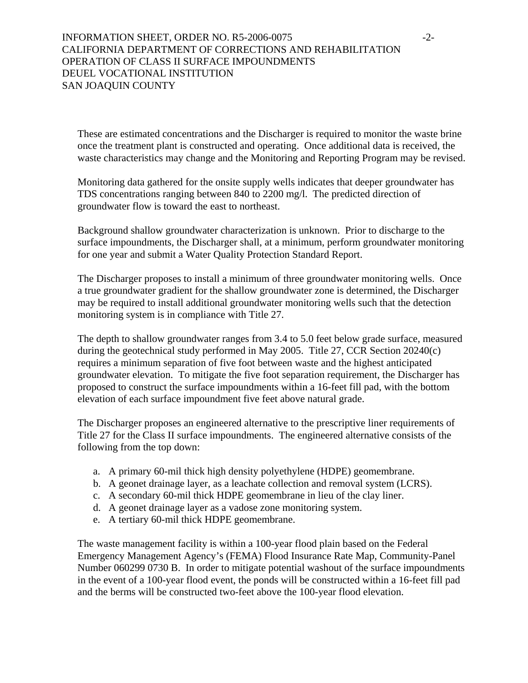# INFORMATION SHEET, ORDER NO. R5-2006-0075 -2-CALIFORNIA DEPARTMENT OF CORRECTIONS AND REHABILITATION OPERATION OF CLASS II SURFACE IMPOUNDMENTS DEUEL VOCATIONAL INSTITUTION SAN JOAQUIN COUNTY

These are estimated concentrations and the Discharger is required to monitor the waste brine once the treatment plant is constructed and operating. Once additional data is received, the waste characteristics may change and the Monitoring and Reporting Program may be revised.

Monitoring data gathered for the onsite supply wells indicates that deeper groundwater has TDS concentrations ranging between 840 to 2200 mg/l. The predicted direction of groundwater flow is toward the east to northeast.

 Background shallow groundwater characterization is unknown. Prior to discharge to the surface impoundments, the Discharger shall, at a minimum, perform groundwater monitoring for one year and submit a Water Quality Protection Standard Report.

The Discharger proposes to install a minimum of three groundwater monitoring wells. Once a true groundwater gradient for the shallow groundwater zone is determined, the Discharger may be required to install additional groundwater monitoring wells such that the detection monitoring system is in compliance with Title 27.

The depth to shallow groundwater ranges from 3.4 to 5.0 feet below grade surface, measured during the geotechnical study performed in May 2005. Title 27, CCR Section 20240(c) requires a minimum separation of five foot between waste and the highest anticipated groundwater elevation. To mitigate the five foot separation requirement, the Discharger has proposed to construct the surface impoundments within a 16-feet fill pad, with the bottom elevation of each surface impoundment five feet above natural grade.

The Discharger proposes an engineered alternative to the prescriptive liner requirements of Title 27 for the Class II surface impoundments. The engineered alternative consists of the following from the top down:

- a. A primary 60-mil thick high density polyethylene (HDPE) geomembrane.
- b. A geonet drainage layer, as a leachate collection and removal system (LCRS).
- c. A secondary 60-mil thick HDPE geomembrane in lieu of the clay liner.
- d. A geonet drainage layer as a vadose zone monitoring system.
- e. A tertiary 60-mil thick HDPE geomembrane.

The waste management facility is within a 100-year flood plain based on the Federal Emergency Management Agency's (FEMA) Flood Insurance Rate Map, Community-Panel Number 060299 0730 B. In order to mitigate potential washout of the surface impoundments in the event of a 100-year flood event, the ponds will be constructed within a 16-feet fill pad and the berms will be constructed two-feet above the 100-year flood elevation.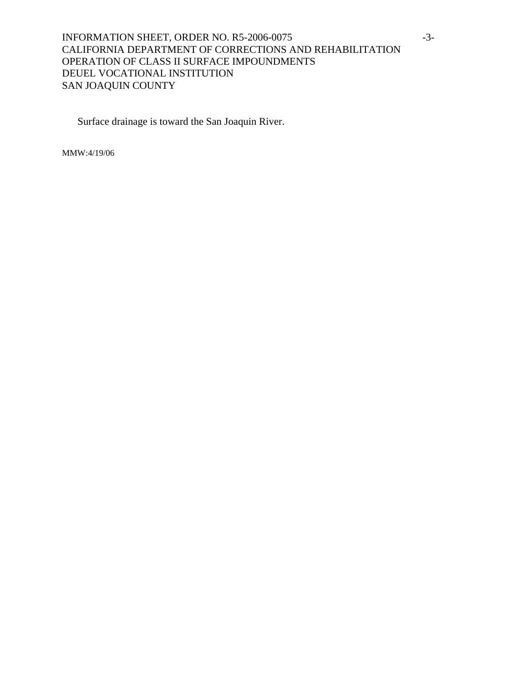# INFORMATION SHEET, ORDER NO. R5-2006-0075 -3-CALIFORNIA DEPARTMENT OF CORRECTIONS AND REHABILITATION OPERATION OF CLASS II SURFACE IMPOUNDMENTS DEUEL VOCATIONAL INSTITUTION SAN JOAQUIN COUNTY

Surface drainage is toward the San Joaquin River.

MMW:4/19/06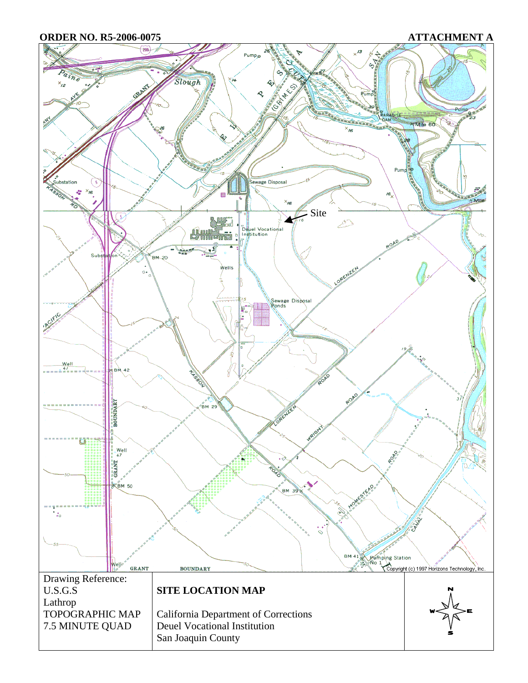**ORDER NO. R5-2006-0075 ATTACHMENT A** 

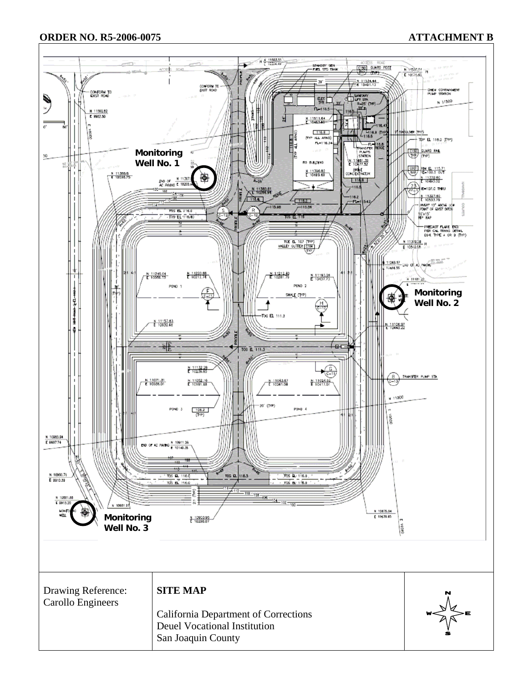## **ORDER NO. R5-2006-0075 ATTACHMENT B**

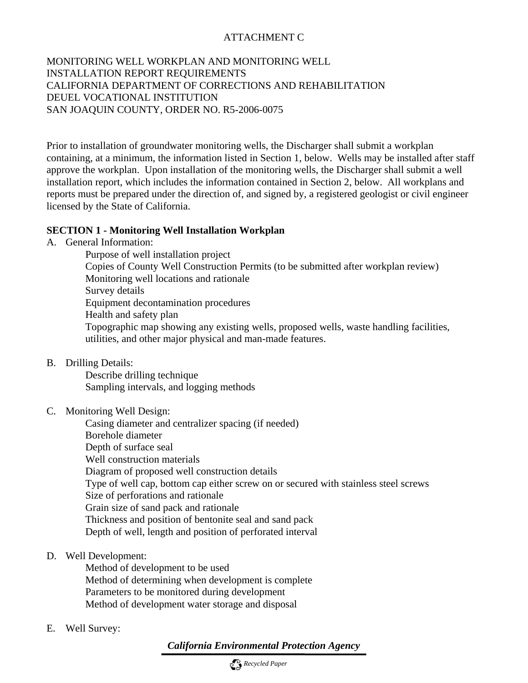# ATTACHMENT C

MONITORING WELL WORKPLAN AND MONITORING WELL INSTALLATION REPORT REQUIREMENTS CALIFORNIA DEPARTMENT OF CORRECTIONS AND REHABILITATION DEUEL VOCATIONAL INSTITUTION SAN JOAQUIN COUNTY, ORDER NO. R5-2006-0075

Prior to installation of groundwater monitoring wells, the Discharger shall submit a workplan containing, at a minimum, the information listed in Section 1, below. Wells may be installed after staff approve the workplan. Upon installation of the monitoring wells, the Discharger shall submit a well installation report, which includes the information contained in Section 2, below. All workplans and reports must be prepared under the direction of, and signed by, a registered geologist or civil engineer licensed by the State of California.

## **SECTION 1 - Monitoring Well Installation Workplan**

A. General Information:

 Purpose of well installation project Copies of County Well Construction Permits (to be submitted after workplan review) Monitoring well locations and rationale Survey details Equipment decontamination procedures Health and safety plan Topographic map showing any existing wells, proposed wells, waste handling facilities, utilities, and other major physical and man-made features.

B. Drilling Details:

 Describe drilling technique Sampling intervals, and logging methods

C. Monitoring Well Design:

 Casing diameter and centralizer spacing (if needed) Borehole diameter Depth of surface seal Well construction materials Diagram of proposed well construction details Type of well cap, bottom cap either screw on or secured with stainless steel screws Size of perforations and rationale Grain size of sand pack and rationale Thickness and position of bentonite seal and sand pack Depth of well, length and position of perforated interval

D. Well Development:

 Method of development to be used Method of determining when development is complete Parameters to be monitored during development Method of development water storage and disposal

E. Well Survey:

*California Environmental Protection Agency*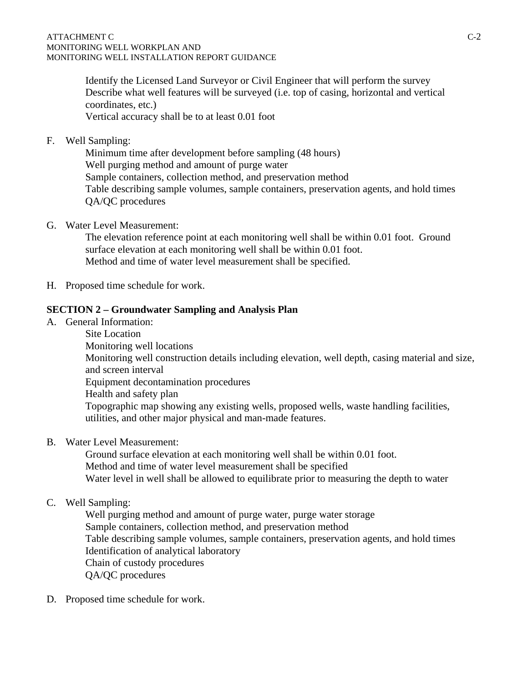Identify the Licensed Land Surveyor or Civil Engineer that will perform the survey Describe what well features will be surveyed (i.e. top of casing, horizontal and vertical coordinates, etc.) Vertical accuracy shall be to at least 0.01 foot

F. Well Sampling:

 Minimum time after development before sampling (48 hours) Well purging method and amount of purge water Sample containers, collection method, and preservation method Table describing sample volumes, sample containers, preservation agents, and hold times QA/QC procedures

G. Water Level Measurement:

 The elevation reference point at each monitoring well shall be within 0.01 foot. Ground surface elevation at each monitoring well shall be within 0.01 foot. Method and time of water level measurement shall be specified.

H. Proposed time schedule for work.

# **SECTION 2 – Groundwater Sampling and Analysis Plan**

A. General Information:

 Site Location Monitoring well locations Monitoring well construction details including elevation, well depth, casing material and size, and screen interval Equipment decontamination procedures Health and safety plan Topographic map showing any existing wells, proposed wells, waste handling facilities, utilities, and other major physical and man-made features.

B. Water Level Measurement:

 Ground surface elevation at each monitoring well shall be within 0.01 foot. Method and time of water level measurement shall be specified Water level in well shall be allowed to equilibrate prior to measuring the depth to water

# C. Well Sampling:

 Well purging method and amount of purge water, purge water storage Sample containers, collection method, and preservation method Table describing sample volumes, sample containers, preservation agents, and hold times Identification of analytical laboratory Chain of custody procedures QA/QC procedures

D. Proposed time schedule for work.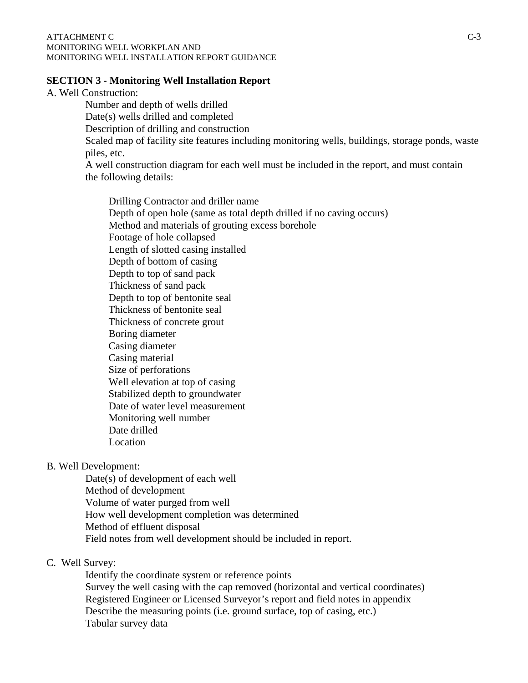#### ATTACHMENT C C-3 MONITORING WELL WORKPLAN AND MONITORING WELL INSTALLATION REPORT GUIDANCE

#### **SECTION 3 - Monitoring Well Installation Report**

A. Well Construction:

 Number and depth of wells drilled Date(s) wells drilled and completed Description of drilling and construction Scaled map of facility site features including monitoring wells, buildings, storage ponds, waste piles, etc. A well construction diagram for each well must be included in the report, and must contain the following details:

 Drilling Contractor and driller name Depth of open hole (same as total depth drilled if no caving occurs) Method and materials of grouting excess borehole Footage of hole collapsed Length of slotted casing installed Depth of bottom of casing Depth to top of sand pack Thickness of sand pack Depth to top of bentonite seal Thickness of bentonite seal Thickness of concrete grout Boring diameter Casing diameter Casing material Size of perforations Well elevation at top of casing Stabilized depth to groundwater Date of water level measurement Monitoring well number Date drilled Location

B. Well Development:

 Date(s) of development of each well Method of development Volume of water purged from well How well development completion was determined Method of effluent disposal Field notes from well development should be included in report.

#### C. Well Survey:

 Identify the coordinate system or reference points Survey the well casing with the cap removed (horizontal and vertical coordinates) Registered Engineer or Licensed Surveyor's report and field notes in appendix Describe the measuring points (i.e. ground surface, top of casing, etc.) Tabular survey data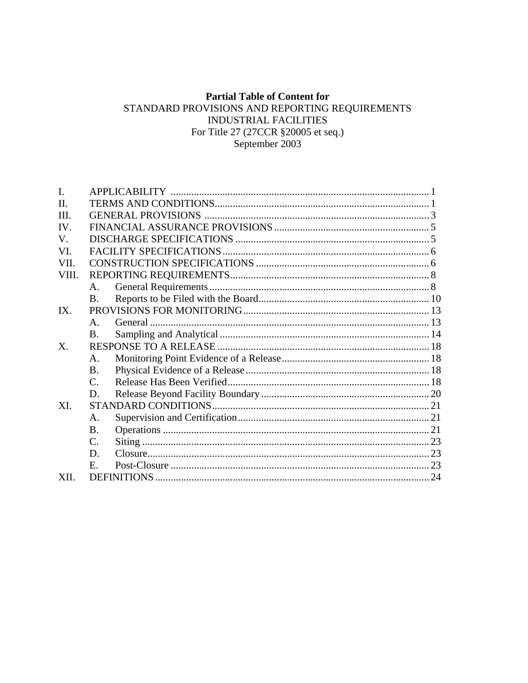# **Partial Table of Content for**

# STANDARD PROVISIONS AND REPORTING REQUIREMENTS INDUSTRIAL FACILITIES For Title 27 (27CCR §20005 et seq.) September 2003

| $\mathbf{I}$ . |                |  |
|----------------|----------------|--|
| $\Pi$          |                |  |
| III.           |                |  |
| IV.            |                |  |
| V.             |                |  |
| VI.            |                |  |
| VII.           |                |  |
| VIII.          |                |  |
|                | $A_{\cdot}$    |  |
|                | $\mathbf{B}$   |  |
| IX             |                |  |
|                | $\mathbf{A}$   |  |
|                | <b>B.</b>      |  |
| X.             |                |  |
|                | $\mathsf{A}$ . |  |
|                | <b>B.</b>      |  |
|                | $C_{\cdot}$    |  |
|                | D.             |  |
| XL             |                |  |
|                | A.             |  |
|                | <b>B.</b>      |  |
|                | C.             |  |
|                | D.             |  |
|                | $E_{\rm c}$    |  |
| XII.           |                |  |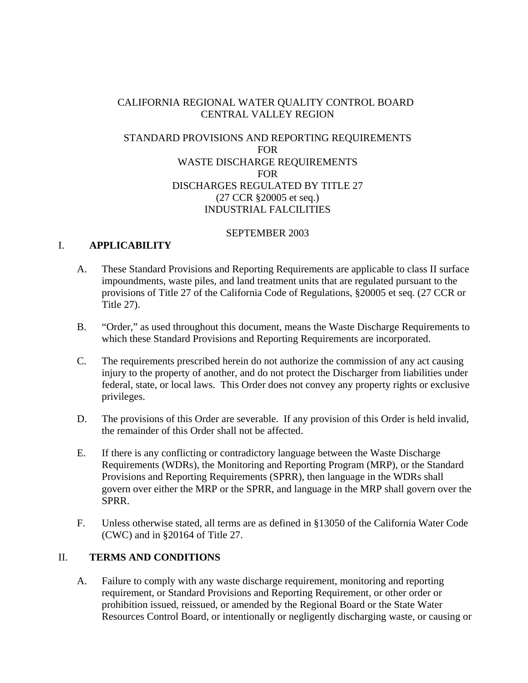# CALIFORNIA REGIONAL WATER QUALITY CONTROL BOARD CENTRAL VALLEY REGION

# STANDARD PROVISIONS AND REPORTING REQUIREMENTS FOR WASTE DISCHARGE REQUIREMENTS FOR DISCHARGES REGULATED BY TITLE 27 (27 CCR §20005 et seq.) INDUSTRIAL FALCILITIES

#### SEPTEMBER 2003

# I. **APPLICABILITY**

- A. These Standard Provisions and Reporting Requirements are applicable to class II surface impoundments, waste piles, and land treatment units that are regulated pursuant to the provisions of Title 27 of the California Code of Regulations, §20005 et seq. (27 CCR or Title 27).
- B. "Order," as used throughout this document, means the Waste Discharge Requirements to which these Standard Provisions and Reporting Requirements are incorporated.
- C. The requirements prescribed herein do not authorize the commission of any act causing injury to the property of another, and do not protect the Discharger from liabilities under federal, state, or local laws. This Order does not convey any property rights or exclusive privileges.
- D. The provisions of this Order are severable. If any provision of this Order is held invalid, the remainder of this Order shall not be affected.
- E. If there is any conflicting or contradictory language between the Waste Discharge Requirements (WDRs), the Monitoring and Reporting Program (MRP), or the Standard Provisions and Reporting Requirements (SPRR), then language in the WDRs shall govern over either the MRP or the SPRR, and language in the MRP shall govern over the SPRR.
- F. Unless otherwise stated, all terms are as defined in §13050 of the California Water Code (CWC) and in §20164 of Title 27.

# II. **TERMS AND CONDITIONS**

A. Failure to comply with any waste discharge requirement, monitoring and reporting requirement, or Standard Provisions and Reporting Requirement, or other order or prohibition issued, reissued, or amended by the Regional Board or the State Water Resources Control Board, or intentionally or negligently discharging waste, or causing or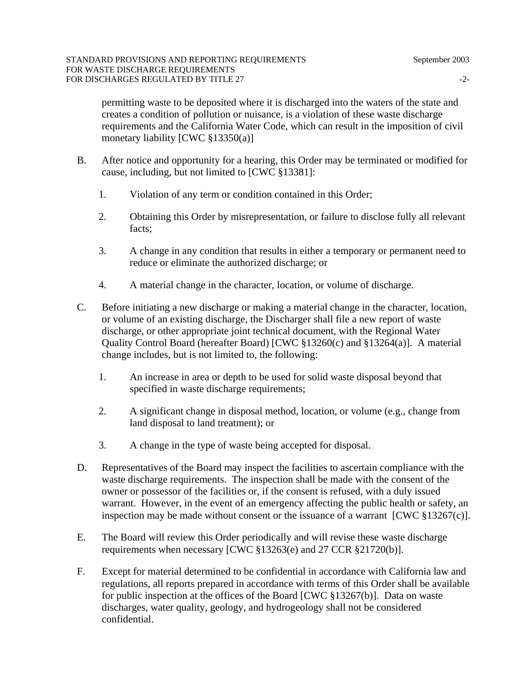permitting waste to be deposited where it is discharged into the waters of the state and creates a condition of pollution or nuisance, is a violation of these waste discharge requirements and the California Water Code, which can result in the imposition of civil monetary liability [CWC §13350(a)]

- B. After notice and opportunity for a hearing, this Order may be terminated or modified for cause, including, but not limited to [CWC §13381]:
	- 1. Violation of any term or condition contained in this Order;
	- 2. Obtaining this Order by misrepresentation, or failure to disclose fully all relevant facts;
	- 3. A change in any condition that results in either a temporary or permanent need to reduce or eliminate the authorized discharge; or
	- 4. A material change in the character, location, or volume of discharge.
- C. Before initiating a new discharge or making a material change in the character, location, or volume of an existing discharge, the Discharger shall file a new report of waste discharge, or other appropriate joint technical document, with the Regional Water Quality Control Board (hereafter Board) [CWC §13260(c) and §13264(a)]. A material change includes, but is not limited to, the following:
	- 1. An increase in area or depth to be used for solid waste disposal beyond that specified in waste discharge requirements;
	- 2. A significant change in disposal method, location, or volume (e.g., change from land disposal to land treatment); or
	- 3. A change in the type of waste being accepted for disposal.
- D. Representatives of the Board may inspect the facilities to ascertain compliance with the waste discharge requirements. The inspection shall be made with the consent of the owner or possessor of the facilities or, if the consent is refused, with a duly issued warrant. However, in the event of an emergency affecting the public health or safety, an inspection may be made without consent or the issuance of a warrant  $[CWC \$ §13267(c)].
- E. The Board will review this Order periodically and will revise these waste discharge requirements when necessary [CWC §13263(e) and 27 CCR §21720(b)].
- F. Except for material determined to be confidential in accordance with California law and regulations, all reports prepared in accordance with terms of this Order shall be available for public inspection at the offices of the Board [CWC §13267(b)]. Data on waste discharges, water quality, geology, and hydrogeology shall not be considered confidential.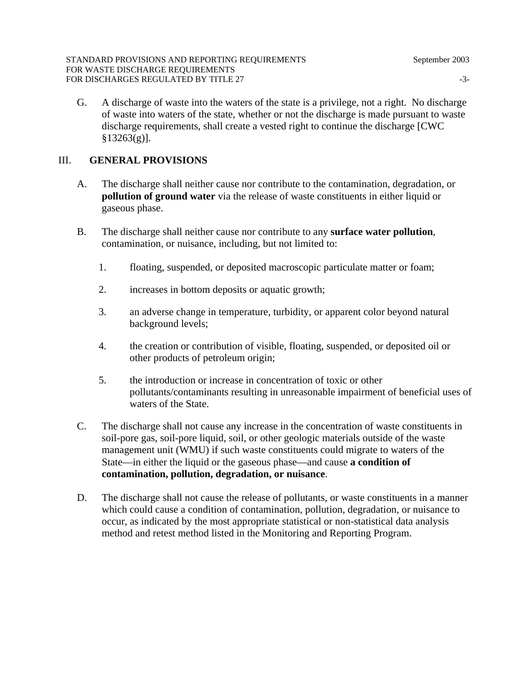G. A discharge of waste into the waters of the state is a privilege, not a right. No discharge of waste into waters of the state, whether or not the discharge is made pursuant to waste discharge requirements, shall create a vested right to continue the discharge [CWC  $§13263(g)$ ].

#### III. **GENERAL PROVISIONS**

- A. The discharge shall neither cause nor contribute to the contamination, degradation, or **pollution of ground water** via the release of waste constituents in either liquid or gaseous phase.
- B. The discharge shall neither cause nor contribute to any **surface water pollution**, contamination, or nuisance, including, but not limited to:
	- 1. floating, suspended, or deposited macroscopic particulate matter or foam;
	- 2. increases in bottom deposits or aquatic growth;
	- 3. an adverse change in temperature, turbidity, or apparent color beyond natural background levels;
	- 4. the creation or contribution of visible, floating, suspended, or deposited oil or other products of petroleum origin;
	- 5. the introduction or increase in concentration of toxic or other pollutants/contaminants resulting in unreasonable impairment of beneficial uses of waters of the State.
- C. The discharge shall not cause any increase in the concentration of waste constituents in soil-pore gas, soil-pore liquid, soil, or other geologic materials outside of the waste management unit (WMU) if such waste constituents could migrate to waters of the State—in either the liquid or the gaseous phase—and cause **a condition of contamination, pollution, degradation, or nuisance**.
- D. The discharge shall not cause the release of pollutants, or waste constituents in a manner which could cause a condition of contamination, pollution, degradation, or nuisance to occur, as indicated by the most appropriate statistical or non-statistical data analysis method and retest method listed in the Monitoring and Reporting Program.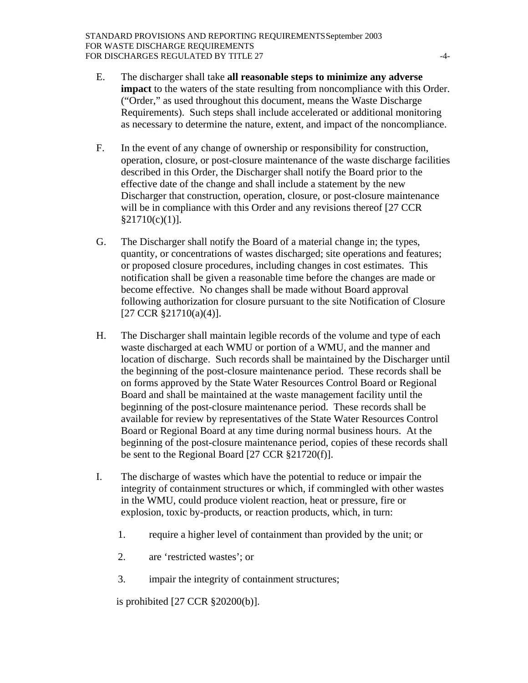- E. The discharger shall take **all reasonable steps to minimize any adverse impact** to the waters of the state resulting from noncompliance with this Order. ("Order," as used throughout this document, means the Waste Discharge Requirements). Such steps shall include accelerated or additional monitoring as necessary to determine the nature, extent, and impact of the noncompliance.
- F. In the event of any change of ownership or responsibility for construction, operation, closure, or post-closure maintenance of the waste discharge facilities described in this Order, the Discharger shall notify the Board prior to the effective date of the change and shall include a statement by the new Discharger that construction, operation, closure, or post-closure maintenance will be in compliance with this Order and any revisions thereof [27 CCR  $§21710(c)(1)].$
- G. The Discharger shall notify the Board of a material change in; the types, quantity, or concentrations of wastes discharged; site operations and features; or proposed closure procedures, including changes in cost estimates. This notification shall be given a reasonable time before the changes are made or become effective. No changes shall be made without Board approval following authorization for closure pursuant to the site Notification of Closure [27 CCR §21710(a)(4)].
- H. The Discharger shall maintain legible records of the volume and type of each waste discharged at each WMU or portion of a WMU, and the manner and location of discharge. Such records shall be maintained by the Discharger until the beginning of the post-closure maintenance period. These records shall be on forms approved by the State Water Resources Control Board or Regional Board and shall be maintained at the waste management facility until the beginning of the post-closure maintenance period. These records shall be available for review by representatives of the State Water Resources Control Board or Regional Board at any time during normal business hours. At the beginning of the post-closure maintenance period, copies of these records shall be sent to the Regional Board [27 CCR §21720(f)].
- I. The discharge of wastes which have the potential to reduce or impair the integrity of containment structures or which, if commingled with other wastes in the WMU, could produce violent reaction, heat or pressure, fire or explosion, toxic by-products, or reaction products, which, in turn:
	- 1. require a higher level of containment than provided by the unit; or
	- 2. are 'restricted wastes'; or
	- 3. impair the integrity of containment structures;

is prohibited [27 CCR §20200(b)].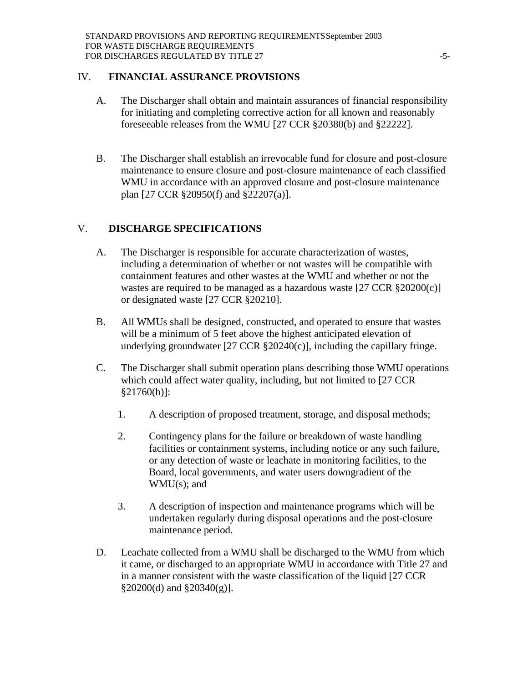#### IV. **FINANCIAL ASSURANCE PROVISIONS**

- A. The Discharger shall obtain and maintain assurances of financial responsibility for initiating and completing corrective action for all known and reasonably foreseeable releases from the WMU [27 CCR §20380(b) and §22222].
- B. The Discharger shall establish an irrevocable fund for closure and post-closure maintenance to ensure closure and post-closure maintenance of each classified WMU in accordance with an approved closure and post-closure maintenance plan [27 CCR §20950(f) and §22207(a)].

# V. **DISCHARGE SPECIFICATIONS**

- A. The Discharger is responsible for accurate characterization of wastes, including a determination of whether or not wastes will be compatible with containment features and other wastes at the WMU and whether or not the wastes are required to be managed as a hazardous waste  $[27 \text{ CCR } \frac{20200(c)}{c}]$ or designated waste [27 CCR §20210].
- B. All WMUs shall be designed, constructed, and operated to ensure that wastes will be a minimum of 5 feet above the highest anticipated elevation of underlying groundwater [27 CCR §20240(c)], including the capillary fringe.
- C. The Discharger shall submit operation plans describing those WMU operations which could affect water quality, including, but not limited to [27 CCR §21760(b)]:
	- 1. A description of proposed treatment, storage, and disposal methods;
	- 2. Contingency plans for the failure or breakdown of waste handling facilities or containment systems, including notice or any such failure, or any detection of waste or leachate in monitoring facilities, to the Board, local governments, and water users downgradient of the WMU(s); and
	- 3. A description of inspection and maintenance programs which will be undertaken regularly during disposal operations and the post-closure maintenance period.
- D. Leachate collected from a WMU shall be discharged to the WMU from which it came, or discharged to an appropriate WMU in accordance with Title 27 and in a manner consistent with the waste classification of the liquid [27 CCR  $\S 20200(d)$  and  $\S 20340(g)$ ].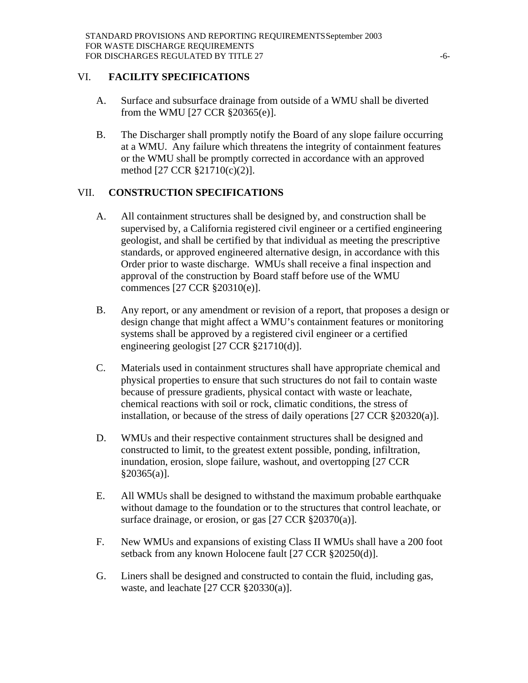#### VI. **FACILITY SPECIFICATIONS**

- A. Surface and subsurface drainage from outside of a WMU shall be diverted from the WMU [27 CCR §20365(e)].
- B. The Discharger shall promptly notify the Board of any slope failure occurring at a WMU. Any failure which threatens the integrity of containment features or the WMU shall be promptly corrected in accordance with an approved method [27 CCR §21710(c)(2)].

# VII. **CONSTRUCTION SPECIFICATIONS**

- A. All containment structures shall be designed by, and construction shall be supervised by, a California registered civil engineer or a certified engineering geologist, and shall be certified by that individual as meeting the prescriptive standards, or approved engineered alternative design, in accordance with this Order prior to waste discharge. WMUs shall receive a final inspection and approval of the construction by Board staff before use of the WMU commences [27 CCR §20310(e)].
- B. Any report, or any amendment or revision of a report, that proposes a design or design change that might affect a WMU's containment features or monitoring systems shall be approved by a registered civil engineer or a certified engineering geologist [27 CCR §21710(d)].
- C. Materials used in containment structures shall have appropriate chemical and physical properties to ensure that such structures do not fail to contain waste because of pressure gradients, physical contact with waste or leachate, chemical reactions with soil or rock, climatic conditions, the stress of installation, or because of the stress of daily operations [27 CCR §20320(a)].
- D. WMUs and their respective containment structures shall be designed and constructed to limit, to the greatest extent possible, ponding, infiltration, inundation, erosion, slope failure, washout, and overtopping [27 CCR  $§20365(a)].$
- E. All WMUs shall be designed to withstand the maximum probable earthquake without damage to the foundation or to the structures that control leachate, or surface drainage, or erosion, or gas [27 CCR §20370(a)].
- F. New WMUs and expansions of existing Class II WMUs shall have a 200 foot setback from any known Holocene fault [27 CCR §20250(d)].
- G. Liners shall be designed and constructed to contain the fluid, including gas, waste, and leachate [27 CCR §20330(a)].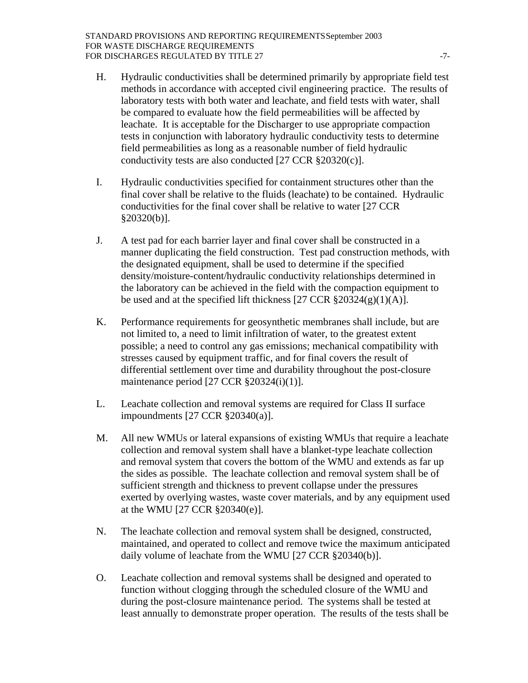- H. Hydraulic conductivities shall be determined primarily by appropriate field test methods in accordance with accepted civil engineering practice. The results of laboratory tests with both water and leachate, and field tests with water, shall be compared to evaluate how the field permeabilities will be affected by leachate. It is acceptable for the Discharger to use appropriate compaction tests in conjunction with laboratory hydraulic conductivity tests to determine field permeabilities as long as a reasonable number of field hydraulic conductivity tests are also conducted [27 CCR §20320(c)].
- I. Hydraulic conductivities specified for containment structures other than the final cover shall be relative to the fluids (leachate) to be contained. Hydraulic conductivities for the final cover shall be relative to water [27 CCR  $§20320(b)].$
- J. A test pad for each barrier layer and final cover shall be constructed in a manner duplicating the field construction. Test pad construction methods, with the designated equipment, shall be used to determine if the specified density/moisture-content/hydraulic conductivity relationships determined in the laboratory can be achieved in the field with the compaction equipment to be used and at the specified lift thickness  $[27 \text{ CCR } \frac{20324(g)(1)(A)}{2}]$ .
- K. Performance requirements for geosynthetic membranes shall include, but are not limited to, a need to limit infiltration of water, to the greatest extent possible; a need to control any gas emissions; mechanical compatibility with stresses caused by equipment traffic, and for final covers the result of differential settlement over time and durability throughout the post-closure maintenance period [27 CCR §20324(i)(1)].
- L. Leachate collection and removal systems are required for Class II surface impoundments [27 CCR §20340(a)].
- M. All new WMUs or lateral expansions of existing WMUs that require a leachate collection and removal system shall have a blanket-type leachate collection and removal system that covers the bottom of the WMU and extends as far up the sides as possible. The leachate collection and removal system shall be of sufficient strength and thickness to prevent collapse under the pressures exerted by overlying wastes, waste cover materials, and by any equipment used at the WMU [27 CCR §20340(e)].
- N. The leachate collection and removal system shall be designed, constructed, maintained, and operated to collect and remove twice the maximum anticipated daily volume of leachate from the WMU [27 CCR §20340(b)].
- O. Leachate collection and removal systems shall be designed and operated to function without clogging through the scheduled closure of the WMU and during the post-closure maintenance period. The systems shall be tested at least annually to demonstrate proper operation. The results of the tests shall be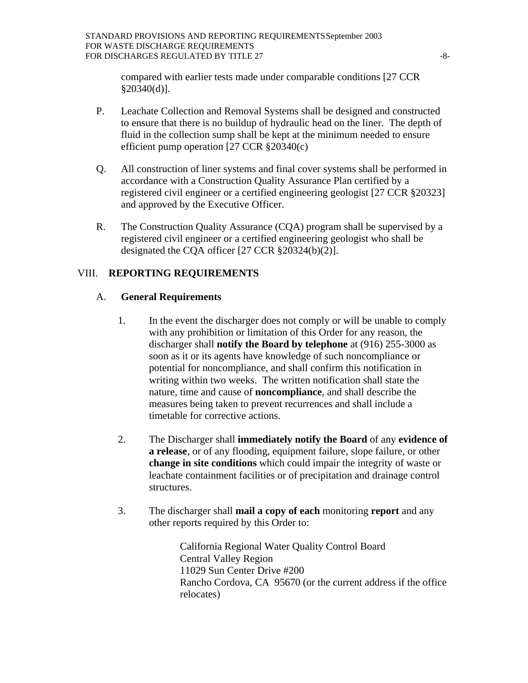compared with earlier tests made under comparable conditions [27 CCR §20340(d)].

- P. Leachate Collection and Removal Systems shall be designed and constructed to ensure that there is no buildup of hydraulic head on the liner. The depth of fluid in the collection sump shall be kept at the minimum needed to ensure efficient pump operation [27 CCR §20340(c)
- Q. All construction of liner systems and final cover systems shall be performed in accordance with a Construction Quality Assurance Plan certified by a registered civil engineer or a certified engineering geologist [27 CCR §20323] and approved by the Executive Officer.
- R. The Construction Quality Assurance (CQA) program shall be supervised by a registered civil engineer or a certified engineering geologist who shall be designated the CQA officer [27 CCR §20324(b)(2)].

# VIII. **REPORTING REQUIREMENTS**

# A. **General Requirements**

- 1. In the event the discharger does not comply or will be unable to comply with any prohibition or limitation of this Order for any reason, the discharger shall **notify the Board by telephone** at (916) 255-3000 as soon as it or its agents have knowledge of such noncompliance or potential for noncompliance, and shall confirm this notification in writing within two weeks. The written notification shall state the nature, time and cause of **noncompliance**, and shall describe the measures being taken to prevent recurrences and shall include a timetable for corrective actions.
- 2. The Discharger shall **immediately notify the Board** of any **evidence of a release**, or of any flooding, equipment failure, slope failure, or other **change in site conditions** which could impair the integrity of waste or leachate containment facilities or of precipitation and drainage control structures.
- 3. The discharger shall **mail a copy of each** monitoring **report** and any other reports required by this Order to:

 California Regional Water Quality Control Board Central Valley Region 11029 Sun Center Drive #200 Rancho Cordova, CA 95670 (or the current address if the office relocates)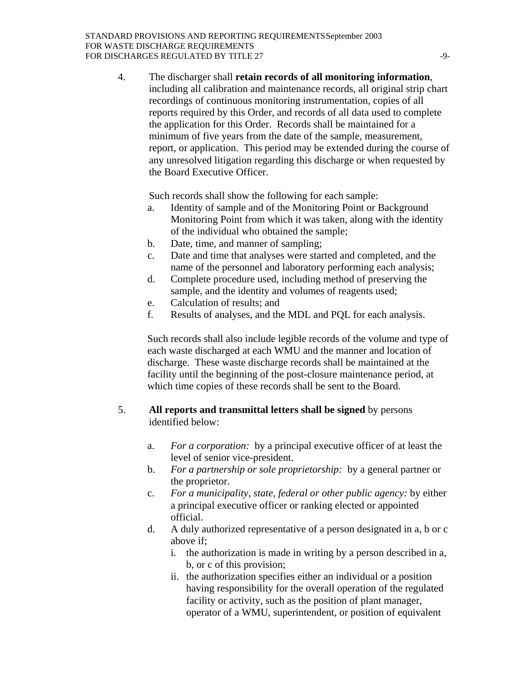4. The discharger shall **retain records of all monitoring information**, including all calibration and maintenance records, all original strip chart recordings of continuous monitoring instrumentation, copies of all reports required by this Order, and records of all data used to complete the application for this Order. Records shall be maintained for a minimum of five years from the date of the sample, measurement, report, or application. This period may be extended during the course of any unresolved litigation regarding this discharge or when requested by the Board Executive Officer.

Such records shall show the following for each sample:

- a. Identity of sample and of the Monitoring Point or Background Monitoring Point from which it was taken, along with the identity of the individual who obtained the sample;
- b. Date, time, and manner of sampling;
- c. Date and time that analyses were started and completed, and the name of the personnel and laboratory performing each analysis;
- d. Complete procedure used, including method of preserving the sample, and the identity and volumes of reagents used;
- e. Calculation of results; and
- f. Results of analyses, and the MDL and PQL for each analysis.

Such records shall also include legible records of the volume and type of each waste discharged at each WMU and the manner and location of discharge. These waste discharge records shall be maintained at the facility until the beginning of the post-closure maintenance period, at which time copies of these records shall be sent to the Board.

# 5. **All reports and transmittal letters shall be signed** by persons identified below:

- a. *For a corporation:* by a principal executive officer of at least the level of senior vice-president.
- b. *For a partnership or sole proprietorship:* by a general partner or the proprietor.
- c. *For a municipality, state, federal or other public agency:* by either a principal executive officer or ranking elected or appointed official.
- d. A duly authorized representative of a person designated in a, b or c above if;
	- i. the authorization is made in writing by a person described in a, b, or c of this provision;
	- ii. the authorization specifies either an individual or a position having responsibility for the overall operation of the regulated facility or activity, such as the position of plant manager, operator of a WMU, superintendent, or position of equivalent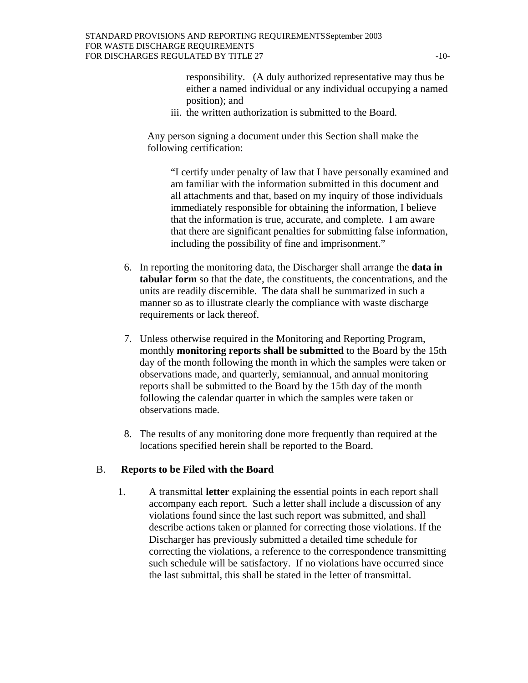responsibility. (A duly authorized representative may thus be either a named individual or any individual occupying a named position); and

iii. the written authorization is submitted to the Board.

Any person signing a document under this Section shall make the following certification:

"I certify under penalty of law that I have personally examined and am familiar with the information submitted in this document and all attachments and that, based on my inquiry of those individuals immediately responsible for obtaining the information, I believe that the information is true, accurate, and complete. I am aware that there are significant penalties for submitting false information, including the possibility of fine and imprisonment."

- 6. In reporting the monitoring data, the Discharger shall arrange the **data in tabular form** so that the date, the constituents, the concentrations, and the units are readily discernible. The data shall be summarized in such a manner so as to illustrate clearly the compliance with waste discharge requirements or lack thereof.
- 7. Unless otherwise required in the Monitoring and Reporting Program, monthly **monitoring reports shall be submitted** to the Board by the 15th day of the month following the month in which the samples were taken or observations made, and quarterly, semiannual, and annual monitoring reports shall be submitted to the Board by the 15th day of the month following the calendar quarter in which the samples were taken or observations made.
- 8. The results of any monitoring done more frequently than required at the locations specified herein shall be reported to the Board.

## B. **Reports to be Filed with the Board**

1. A transmittal **letter** explaining the essential points in each report shall accompany each report. Such a letter shall include a discussion of any violations found since the last such report was submitted, and shall describe actions taken or planned for correcting those violations. If the Discharger has previously submitted a detailed time schedule for correcting the violations, a reference to the correspondence transmitting such schedule will be satisfactory. If no violations have occurred since the last submittal, this shall be stated in the letter of transmittal.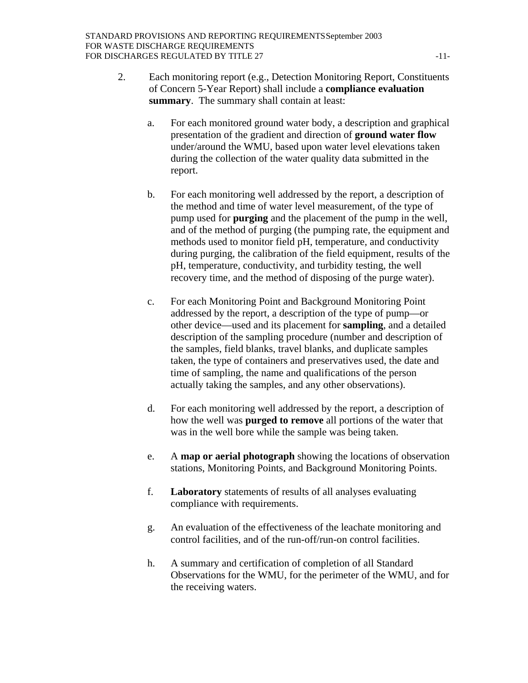- 2. Each monitoring report (e.g., Detection Monitoring Report, Constituents of Concern 5-Year Report) shall include a **compliance evaluation summary**. The summary shall contain at least:
	- a. For each monitored ground water body, a description and graphical presentation of the gradient and direction of **ground water flow** under/around the WMU, based upon water level elevations taken during the collection of the water quality data submitted in the report.
	- b. For each monitoring well addressed by the report, a description of the method and time of water level measurement, of the type of pump used for **purging** and the placement of the pump in the well, and of the method of purging (the pumping rate, the equipment and methods used to monitor field pH, temperature, and conductivity during purging, the calibration of the field equipment, results of the pH, temperature, conductivity, and turbidity testing, the well recovery time, and the method of disposing of the purge water).
	- c. For each Monitoring Point and Background Monitoring Point addressed by the report, a description of the type of pump—or other device—used and its placement for **sampling**, and a detailed description of the sampling procedure (number and description of the samples, field blanks, travel blanks, and duplicate samples taken, the type of containers and preservatives used, the date and time of sampling, the name and qualifications of the person actually taking the samples, and any other observations).
	- d. For each monitoring well addressed by the report, a description of how the well was **purged to remove** all portions of the water that was in the well bore while the sample was being taken.
	- e. A **map or aerial photograph** showing the locations of observation stations, Monitoring Points, and Background Monitoring Points.
	- f. **Laboratory** statements of results of all analyses evaluating compliance with requirements.
	- g. An evaluation of the effectiveness of the leachate monitoring and control facilities, and of the run-off/run-on control facilities.
	- h. A summary and certification of completion of all Standard Observations for the WMU, for the perimeter of the WMU, and for the receiving waters.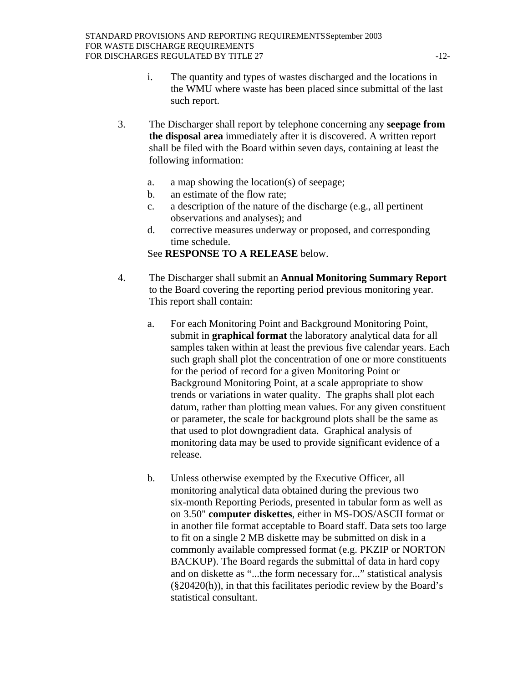- i. The quantity and types of wastes discharged and the locations in the WMU where waste has been placed since submittal of the last such report.
- 3. The Discharger shall report by telephone concerning any **seepage from the disposal area** immediately after it is discovered. A written report shall be filed with the Board within seven days, containing at least the following information:
	- a. a map showing the location(s) of seepage;
	- b. an estimate of the flow rate;
	- c. a description of the nature of the discharge (e.g., all pertinent observations and analyses); and
	- d. corrective measures underway or proposed, and corresponding time schedule.

See **RESPONSE TO A RELEASE** below.

- 4. The Discharger shall submit an **Annual Monitoring Summary Report** to the Board covering the reporting period previous monitoring year. This report shall contain:
	- a. For each Monitoring Point and Background Monitoring Point, submit in **graphical format** the laboratory analytical data for all samples taken within at least the previous five calendar years. Each such graph shall plot the concentration of one or more constituents for the period of record for a given Monitoring Point or Background Monitoring Point, at a scale appropriate to show trends or variations in water quality. The graphs shall plot each datum, rather than plotting mean values. For any given constituent or parameter, the scale for background plots shall be the same as that used to plot downgradient data. Graphical analysis of monitoring data may be used to provide significant evidence of a release.
	- b. Unless otherwise exempted by the Executive Officer, all monitoring analytical data obtained during the previous two six-month Reporting Periods, presented in tabular form as well as on 3.50" **computer diskettes**, either in MS-DOS/ASCII format or in another file format acceptable to Board staff. Data sets too large to fit on a single 2 MB diskette may be submitted on disk in a commonly available compressed format (e.g. PKZIP or NORTON BACKUP). The Board regards the submittal of data in hard copy and on diskette as "...the form necessary for..." statistical analysis (§20420(h)), in that this facilitates periodic review by the Board's statistical consultant.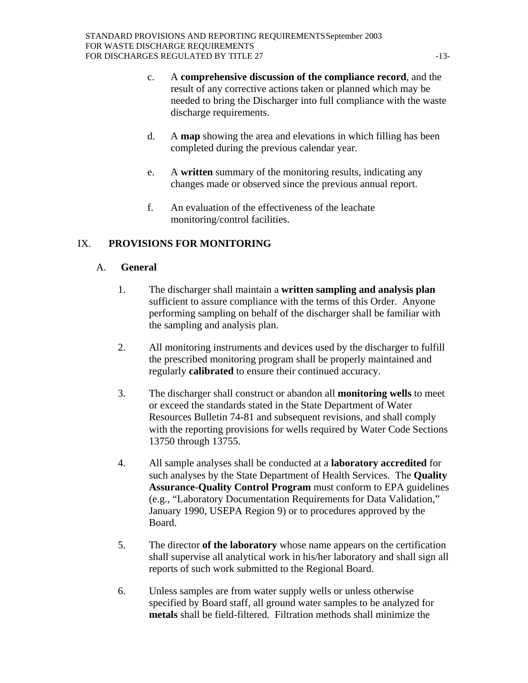- c. A **comprehensive discussion of the compliance record**, and the result of any corrective actions taken or planned which may be needed to bring the Discharger into full compliance with the waste discharge requirements.
- d. A **map** showing the area and elevations in which filling has been completed during the previous calendar year.
- e. A **written** summary of the monitoring results, indicating any changes made or observed since the previous annual report.
- f. An evaluation of the effectiveness of the leachate monitoring/control facilities.

# IX. **PROVISIONS FOR MONITORING**

# A. **General**

- 1. The discharger shall maintain a **written sampling and analysis plan** sufficient to assure compliance with the terms of this Order. Anyone performing sampling on behalf of the discharger shall be familiar with the sampling and analysis plan.
- 2. All monitoring instruments and devices used by the discharger to fulfill the prescribed monitoring program shall be properly maintained and regularly **calibrated** to ensure their continued accuracy.
- 3. The discharger shall construct or abandon all **monitoring wells** to meet or exceed the standards stated in the State Department of Water Resources Bulletin 74-81 and subsequent revisions, and shall comply with the reporting provisions for wells required by Water Code Sections 13750 through 13755.
- 4. All sample analyses shall be conducted at a **laboratory accredited** for such analyses by the State Department of Health Services. The **Quality Assurance-Quality Control Program** must conform to EPA guidelines (e.g., "Laboratory Documentation Requirements for Data Validation," January 1990, USEPA Region 9) or to procedures approved by the Board.
- 5. The director **of the laboratory** whose name appears on the certification shall supervise all analytical work in his/her laboratory and shall sign all reports of such work submitted to the Regional Board.
- 6. Unless samples are from water supply wells or unless otherwise specified by Board staff, all ground water samples to be analyzed for **metals** shall be field-filtered. Filtration methods shall minimize the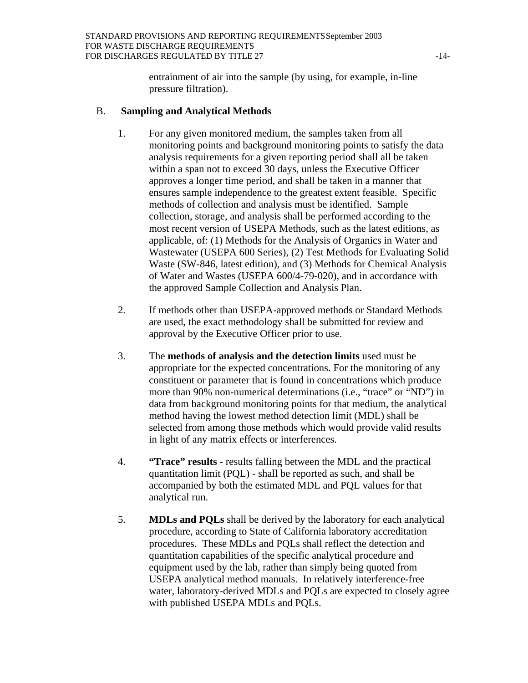entrainment of air into the sample (by using, for example, in-line pressure filtration).

#### B. **Sampling and Analytical Methods**

- 1. For any given monitored medium, the samples taken from all monitoring points and background monitoring points to satisfy the data analysis requirements for a given reporting period shall all be taken within a span not to exceed 30 days, unless the Executive Officer approves a longer time period, and shall be taken in a manner that ensures sample independence to the greatest extent feasible. Specific methods of collection and analysis must be identified. Sample collection, storage, and analysis shall be performed according to the most recent version of USEPA Methods, such as the latest editions, as applicable, of: (1) Methods for the Analysis of Organics in Water and Wastewater (USEPA 600 Series), (2) Test Methods for Evaluating Solid Waste (SW-846, latest edition), and (3) Methods for Chemical Analysis of Water and Wastes (USEPA 600/4-79-020), and in accordance with the approved Sample Collection and Analysis Plan.
- 2. If methods other than USEPA-approved methods or Standard Methods are used, the exact methodology shall be submitted for review and approval by the Executive Officer prior to use.
- 3. The **methods of analysis and the detection limits** used must be appropriate for the expected concentrations. For the monitoring of any constituent or parameter that is found in concentrations which produce more than 90% non-numerical determinations (i.e., "trace" or "ND") in data from background monitoring points for that medium, the analytical method having the lowest method detection limit (MDL) shall be selected from among those methods which would provide valid results in light of any matrix effects or interferences.
- 4. **"Trace" results** results falling between the MDL and the practical quantitation limit (PQL) - shall be reported as such, and shall be accompanied by both the estimated MDL and PQL values for that analytical run.
- 5. **MDLs and PQLs** shall be derived by the laboratory for each analytical procedure, according to State of California laboratory accreditation procedures. These MDLs and PQLs shall reflect the detection and quantitation capabilities of the specific analytical procedure and equipment used by the lab, rather than simply being quoted from USEPA analytical method manuals. In relatively interference-free water, laboratory-derived MDLs and PQLs are expected to closely agree with published USEPA MDLs and PQLs.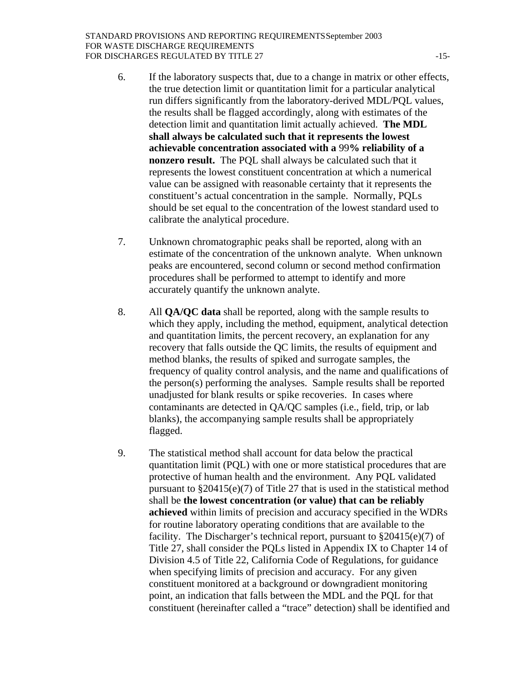- 6. If the laboratory suspects that, due to a change in matrix or other effects, the true detection limit or quantitation limit for a particular analytical run differs significantly from the laboratory-derived MDL/PQL values, the results shall be flagged accordingly, along with estimates of the detection limit and quantitation limit actually achieved. **The MDL shall always be calculated such that it represents the lowest achievable concentration associated with a** 99**% reliability of a nonzero result.** The PQL shall always be calculated such that it represents the lowest constituent concentration at which a numerical value can be assigned with reasonable certainty that it represents the constituent's actual concentration in the sample. Normally, PQLs should be set equal to the concentration of the lowest standard used to calibrate the analytical procedure.
- 7. Unknown chromatographic peaks shall be reported, along with an estimate of the concentration of the unknown analyte. When unknown peaks are encountered, second column or second method confirmation procedures shall be performed to attempt to identify and more accurately quantify the unknown analyte.
- 8. All **QA/QC data** shall be reported, along with the sample results to which they apply, including the method, equipment, analytical detection and quantitation limits, the percent recovery, an explanation for any recovery that falls outside the QC limits, the results of equipment and method blanks, the results of spiked and surrogate samples, the frequency of quality control analysis, and the name and qualifications of the person(s) performing the analyses. Sample results shall be reported unadjusted for blank results or spike recoveries. In cases where contaminants are detected in QA/QC samples (i.e., field, trip, or lab blanks), the accompanying sample results shall be appropriately flagged.
- 9. The statistical method shall account for data below the practical quantitation limit (PQL) with one or more statistical procedures that are protective of human health and the environment. Any PQL validated pursuant to §20415(e)(7) of Title 27 that is used in the statistical method shall be **the lowest concentration (or value) that can be reliably achieved** within limits of precision and accuracy specified in the WDRs for routine laboratory operating conditions that are available to the facility. The Discharger's technical report, pursuant to  $\S 20415(e)(7)$  of Title 27, shall consider the PQLs listed in Appendix IX to Chapter 14 of Division 4.5 of Title 22, California Code of Regulations, for guidance when specifying limits of precision and accuracy. For any given constituent monitored at a background or downgradient monitoring point, an indication that falls between the MDL and the PQL for that constituent (hereinafter called a "trace" detection) shall be identified and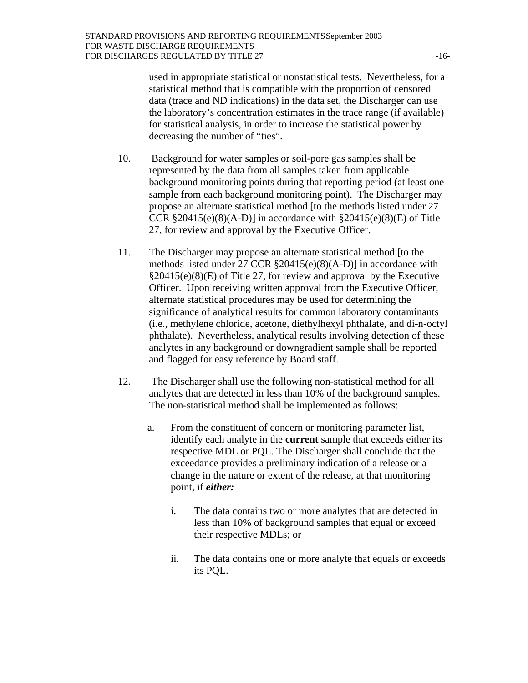used in appropriate statistical or nonstatistical tests. Nevertheless, for a statistical method that is compatible with the proportion of censored data (trace and ND indications) in the data set, the Discharger can use the laboratory's concentration estimates in the trace range (if available) for statistical analysis, in order to increase the statistical power by decreasing the number of "ties".

- 10. Background for water samples or soil-pore gas samples shall be represented by the data from all samples taken from applicable background monitoring points during that reporting period (at least one sample from each background monitoring point). The Discharger may propose an alternate statistical method [to the methods listed under 27 CCR  $\S 20415(e)(8)(A-D)$ ] in accordance with  $\S 20415(e)(8)(E)$  of Title 27, for review and approval by the Executive Officer.
- 11. The Discharger may propose an alternate statistical method [to the methods listed under 27 CCR §20415(e)(8)(A-D)] in accordance with §20415(e)(8)(E) of Title 27, for review and approval by the Executive Officer. Upon receiving written approval from the Executive Officer, alternate statistical procedures may be used for determining the significance of analytical results for common laboratory contaminants (i.e., methylene chloride, acetone, diethylhexyl phthalate, and di-n-octyl phthalate). Nevertheless, analytical results involving detection of these analytes in any background or downgradient sample shall be reported and flagged for easy reference by Board staff.
- 12. The Discharger shall use the following non-statistical method for all analytes that are detected in less than 10% of the background samples. The non-statistical method shall be implemented as follows:
	- a. From the constituent of concern or monitoring parameter list, identify each analyte in the **current** sample that exceeds either its respective MDL or PQL. The Discharger shall conclude that the exceedance provides a preliminary indication of a release or a change in the nature or extent of the release, at that monitoring point, if *either:*
		- i. The data contains two or more analytes that are detected in less than 10% of background samples that equal or exceed their respective MDLs; or
		- ii. The data contains one or more analyte that equals or exceeds its PQL.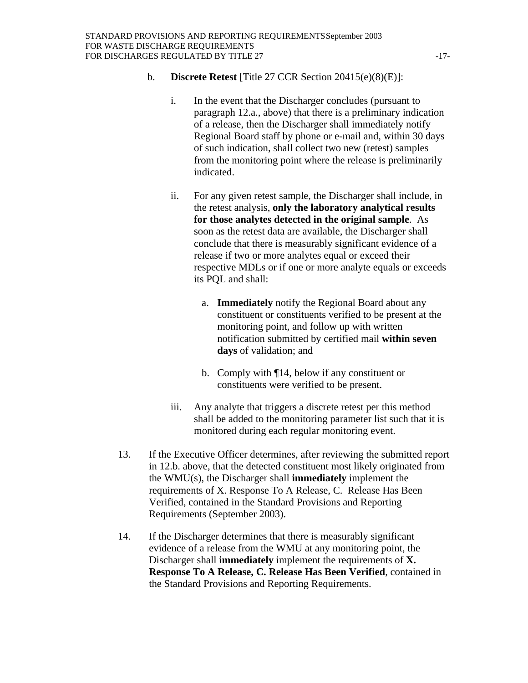- b. **Discrete Retest** [Title 27 CCR Section 20415(e)(8)(E)]:
	- i. In the event that the Discharger concludes (pursuant to paragraph 12.a., above) that there is a preliminary indication of a release, then the Discharger shall immediately notify Regional Board staff by phone or e-mail and, within 30 days of such indication, shall collect two new (retest) samples from the monitoring point where the release is preliminarily indicated.
	- ii. For any given retest sample, the Discharger shall include, in the retest analysis, **only the laboratory analytical results for those analytes detected in the original sample**. As soon as the retest data are available, the Discharger shall conclude that there is measurably significant evidence of a release if two or more analytes equal or exceed their respective MDLs or if one or more analyte equals or exceeds its PQL and shall:
		- a. **Immediately** notify the Regional Board about any constituent or constituents verified to be present at the monitoring point, and follow up with written notification submitted by certified mail **within seven days** of validation; and
		- b. Comply with ¶14, below if any constituent or constituents were verified to be present.
	- iii. Any analyte that triggers a discrete retest per this method shall be added to the monitoring parameter list such that it is monitored during each regular monitoring event.
- 13. If the Executive Officer determines, after reviewing the submitted report in 12.b. above, that the detected constituent most likely originated from the WMU(s), the Discharger shall **immediately** implement the requirements of X. Response To A Release, C. Release Has Been Verified, contained in the Standard Provisions and Reporting Requirements (September 2003).
- 14. If the Discharger determines that there is measurably significant evidence of a release from the WMU at any monitoring point, the Discharger shall **immediately** implement the requirements of **X. Response To A Release, C. Release Has Been Verified**, contained in the Standard Provisions and Reporting Requirements.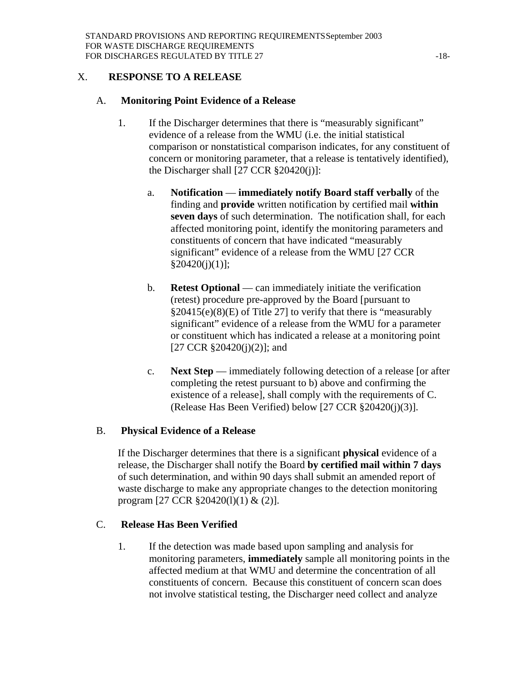# X. **RESPONSE TO A RELEASE**

#### A. **Monitoring Point Evidence of a Release**

- 1. If the Discharger determines that there is "measurably significant" evidence of a release from the WMU (i.e. the initial statistical comparison or nonstatistical comparison indicates, for any constituent of concern or monitoring parameter, that a release is tentatively identified), the Discharger shall  $[27 \text{ CCR } \frac{820420(i)}{i}]$ :
	- a. **Notification immediately notify Board staff verbally** of the finding and **provide** written notification by certified mail **within seven days** of such determination. The notification shall, for each affected monitoring point, identify the monitoring parameters and constituents of concern that have indicated "measurably significant" evidence of a release from the WMU [27 CCR  $§20420(j)(1)];$
	- b. **Retest Optional** can immediately initiate the verification (retest) procedure pre-approved by the Board [pursuant to §20415(e)(8)(E) of Title 27] to verify that there is "measurably significant" evidence of a release from the WMU for a parameter or constituent which has indicated a release at a monitoring point  $[27 \text{ CCR } \frac{820420(i)(2)}{i}$ ; and
	- c. **Next Step** immediately following detection of a release [or after completing the retest pursuant to b) above and confirming the existence of a release], shall comply with the requirements of C. (Release Has Been Verified) below [27 CCR §20420(j)(3)].

## B. **Physical Evidence of a Release**

If the Discharger determines that there is a significant **physical** evidence of a release, the Discharger shall notify the Board **by certified mail within 7 days** of such determination, and within 90 days shall submit an amended report of waste discharge to make any appropriate changes to the detection monitoring program [27 CCR §20420(1)(1) & (2)].

## C. **Release Has Been Verified**

1. If the detection was made based upon sampling and analysis for monitoring parameters, **immediately** sample all monitoring points in the affected medium at that WMU and determine the concentration of all constituents of concern. Because this constituent of concern scan does not involve statistical testing, the Discharger need collect and analyze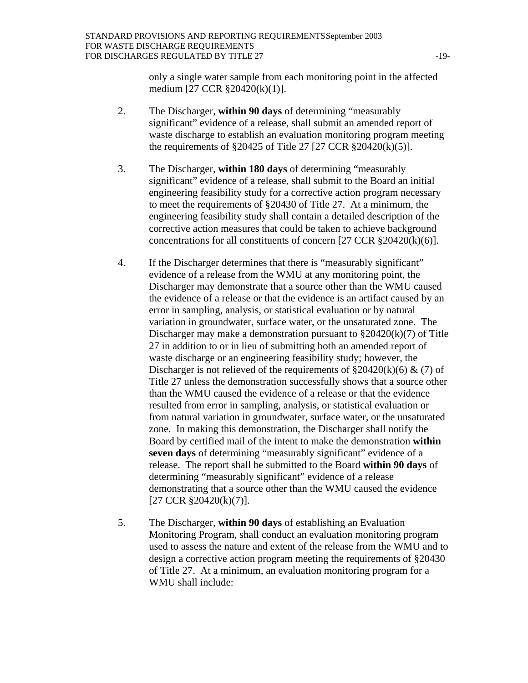only a single water sample from each monitoring point in the affected medium [27 CCR §20420(k)(1)].

- 2. The Discharger, **within 90 days** of determining "measurably significant" evidence of a release, shall submit an amended report of waste discharge to establish an evaluation monitoring program meeting the requirements of  $\S 20425$  of Title 27 [27 CCR  $\S 20420(k)(5)$ ].
- 3. The Discharger, **within 180 days** of determining "measurably significant" evidence of a release, shall submit to the Board an initial engineering feasibility study for a corrective action program necessary to meet the requirements of §20430 of Title 27. At a minimum, the engineering feasibility study shall contain a detailed description of the corrective action measures that could be taken to achieve background concentrations for all constituents of concern [27 CCR §20420(k)(6)].
- 4. If the Discharger determines that there is "measurably significant" evidence of a release from the WMU at any monitoring point, the Discharger may demonstrate that a source other than the WMU caused the evidence of a release or that the evidence is an artifact caused by an error in sampling, analysis, or statistical evaluation or by natural variation in groundwater, surface water, or the unsaturated zone. The Discharger may make a demonstration pursuant to §20420(k)(7) of Title 27 in addition to or in lieu of submitting both an amended report of waste discharge or an engineering feasibility study; however, the Discharger is not relieved of the requirements of  $\S 20420(k)(6) \& (7)$  of Title 27 unless the demonstration successfully shows that a source other than the WMU caused the evidence of a release or that the evidence resulted from error in sampling, analysis, or statistical evaluation or from natural variation in groundwater, surface water, or the unsaturated zone. In making this demonstration, the Discharger shall notify the Board by certified mail of the intent to make the demonstration **within seven days** of determining "measurably significant" evidence of a release. The report shall be submitted to the Board **within 90 days** of determining "measurably significant" evidence of a release demonstrating that a source other than the WMU caused the evidence [27 CCR §20420(k)(7)].
- 5. The Discharger, **within 90 days** of establishing an Evaluation Monitoring Program, shall conduct an evaluation monitoring program used to assess the nature and extent of the release from the WMU and to design a corrective action program meeting the requirements of §20430 of Title 27. At a minimum, an evaluation monitoring program for a WMU shall include: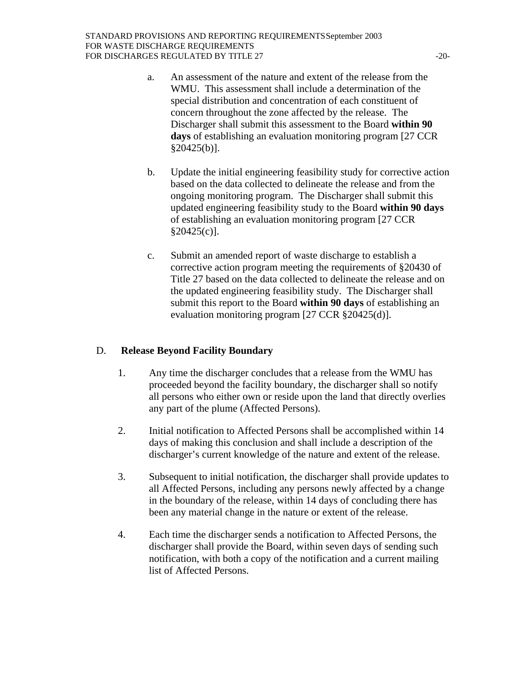- a. An assessment of the nature and extent of the release from the WMU. This assessment shall include a determination of the special distribution and concentration of each constituent of concern throughout the zone affected by the release. The Discharger shall submit this assessment to the Board **within 90 days** of establishing an evaluation monitoring program [27 CCR §20425(b)].
- b. Update the initial engineering feasibility study for corrective action based on the data collected to delineate the release and from the ongoing monitoring program. The Discharger shall submit this updated engineering feasibility study to the Board **within 90 days** of establishing an evaluation monitoring program [27 CCR §20425(c)].
- c. Submit an amended report of waste discharge to establish a corrective action program meeting the requirements of §20430 of Title 27 based on the data collected to delineate the release and on the updated engineering feasibility study. The Discharger shall submit this report to the Board **within 90 days** of establishing an evaluation monitoring program [27 CCR §20425(d)].

# D. **Release Beyond Facility Boundary**

- 1. Any time the discharger concludes that a release from the WMU has proceeded beyond the facility boundary, the discharger shall so notify all persons who either own or reside upon the land that directly overlies any part of the plume (Affected Persons).
- 2. Initial notification to Affected Persons shall be accomplished within 14 days of making this conclusion and shall include a description of the discharger's current knowledge of the nature and extent of the release.
- 3. Subsequent to initial notification, the discharger shall provide updates to all Affected Persons, including any persons newly affected by a change in the boundary of the release, within 14 days of concluding there has been any material change in the nature or extent of the release.
- 4. Each time the discharger sends a notification to Affected Persons, the discharger shall provide the Board, within seven days of sending such notification, with both a copy of the notification and a current mailing list of Affected Persons.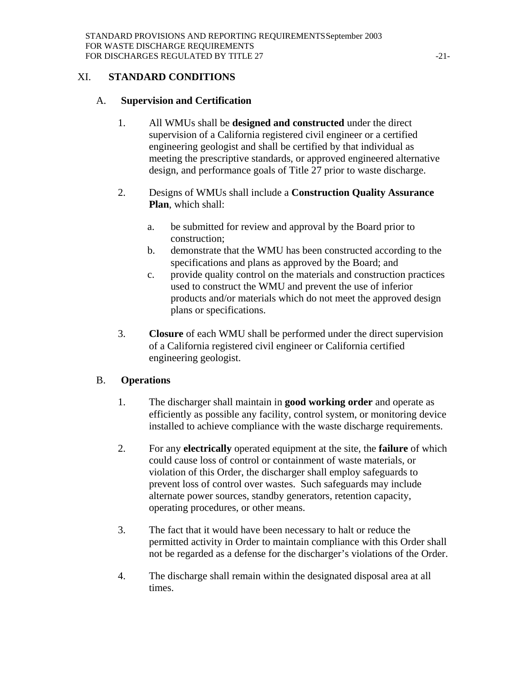## XI. **STANDARD CONDITIONS**

## A. **Supervision and Certification**

- 1. All WMUs shall be **designed and constructed** under the direct supervision of a California registered civil engineer or a certified engineering geologist and shall be certified by that individual as meeting the prescriptive standards, or approved engineered alternative design, and performance goals of Title 27 prior to waste discharge.
- 2. Designs of WMUs shall include a **Construction Quality Assurance Plan**, which shall:
	- a. be submitted for review and approval by the Board prior to construction;
	- b. demonstrate that the WMU has been constructed according to the specifications and plans as approved by the Board; and
	- c. provide quality control on the materials and construction practices used to construct the WMU and prevent the use of inferior products and/or materials which do not meet the approved design plans or specifications.
- 3. **Closure** of each WMU shall be performed under the direct supervision of a California registered civil engineer or California certified engineering geologist.

## B. **Operations**

- 1. The discharger shall maintain in **good working order** and operate as efficiently as possible any facility, control system, or monitoring device installed to achieve compliance with the waste discharge requirements.
- 2. For any **electrically** operated equipment at the site, the **failure** of which could cause loss of control or containment of waste materials, or violation of this Order, the discharger shall employ safeguards to prevent loss of control over wastes. Such safeguards may include alternate power sources, standby generators, retention capacity, operating procedures, or other means.
- 3. The fact that it would have been necessary to halt or reduce the permitted activity in Order to maintain compliance with this Order shall not be regarded as a defense for the discharger's violations of the Order.
- 4. The discharge shall remain within the designated disposal area at all times.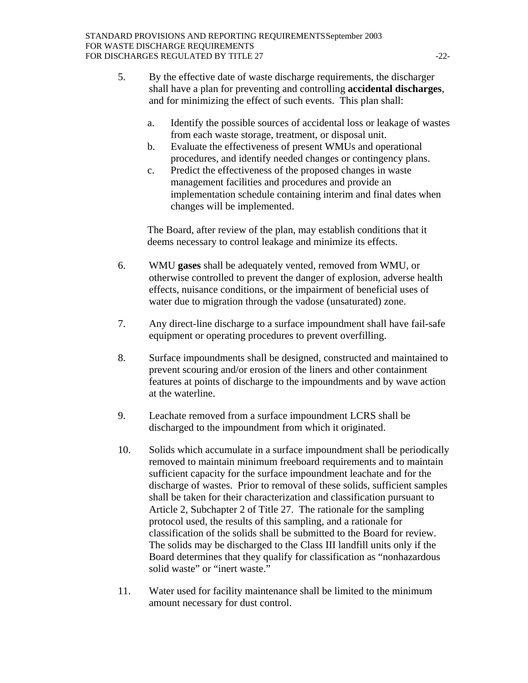- 5. By the effective date of waste discharge requirements, the discharger shall have a plan for preventing and controlling **accidental discharges**, and for minimizing the effect of such events. This plan shall:
	- a. Identify the possible sources of accidental loss or leakage of wastes from each waste storage, treatment, or disposal unit.
	- b. Evaluate the effectiveness of present WMUs and operational procedures, and identify needed changes or contingency plans.
	- c. Predict the effectiveness of the proposed changes in waste management facilities and procedures and provide an implementation schedule containing interim and final dates when changes will be implemented.

The Board, after review of the plan, may establish conditions that it deems necessary to control leakage and minimize its effects.

- 6. WMU **gases** shall be adequately vented, removed from WMU, or otherwise controlled to prevent the danger of explosion, adverse health effects, nuisance conditions, or the impairment of beneficial uses of water due to migration through the vadose (unsaturated) zone.
- 7. Any direct-line discharge to a surface impoundment shall have fail-safe equipment or operating procedures to prevent overfilling.
- 8. Surface impoundments shall be designed, constructed and maintained to prevent scouring and/or erosion of the liners and other containment features at points of discharge to the impoundments and by wave action at the waterline.
- 9. Leachate removed from a surface impoundment LCRS shall be discharged to the impoundment from which it originated.
- 10. Solids which accumulate in a surface impoundment shall be periodically removed to maintain minimum freeboard requirements and to maintain sufficient capacity for the surface impoundment leachate and for the discharge of wastes. Prior to removal of these solids, sufficient samples shall be taken for their characterization and classification pursuant to Article 2, Subchapter 2 of Title 27. The rationale for the sampling protocol used, the results of this sampling, and a rationale for classification of the solids shall be submitted to the Board for review. The solids may be discharged to the Class III landfill units only if the Board determines that they qualify for classification as "nonhazardous solid waste" or "inert waste."
- 11. Water used for facility maintenance shall be limited to the minimum amount necessary for dust control.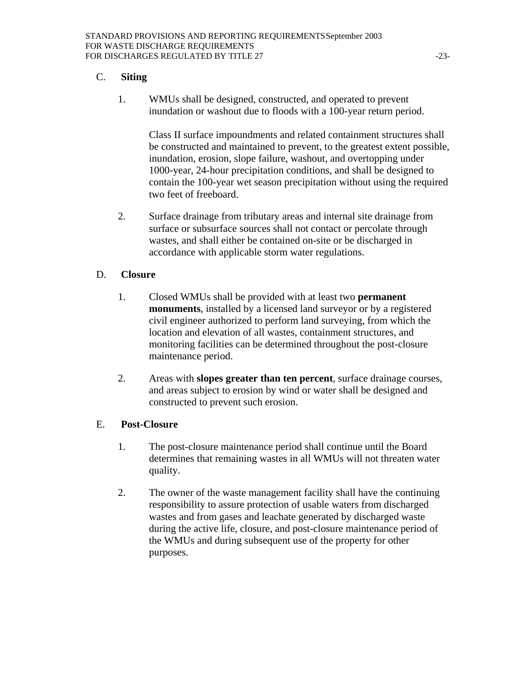## C. **Siting**

1. WMUs shall be designed, constructed, and operated to prevent inundation or washout due to floods with a 100-year return period.

Class II surface impoundments and related containment structures shall be constructed and maintained to prevent, to the greatest extent possible, inundation, erosion, slope failure, washout, and overtopping under 1000-year, 24-hour precipitation conditions, and shall be designed to contain the 100-year wet season precipitation without using the required two feet of freeboard.

2. Surface drainage from tributary areas and internal site drainage from surface or subsurface sources shall not contact or percolate through wastes, and shall either be contained on-site or be discharged in accordance with applicable storm water regulations.

#### D. **Closure**

- 1. Closed WMUs shall be provided with at least two **permanent monuments**, installed by a licensed land surveyor or by a registered civil engineer authorized to perform land surveying, from which the location and elevation of all wastes, containment structures, and monitoring facilities can be determined throughout the post-closure maintenance period.
- 2. Areas with **slopes greater than ten percent**, surface drainage courses, and areas subject to erosion by wind or water shall be designed and constructed to prevent such erosion.

#### E. **Post-Closure**

- 1. The post-closure maintenance period shall continue until the Board determines that remaining wastes in all WMUs will not threaten water quality.
- 2. The owner of the waste management facility shall have the continuing responsibility to assure protection of usable waters from discharged wastes and from gases and leachate generated by discharged waste during the active life, closure, and post-closure maintenance period of the WMUs and during subsequent use of the property for other purposes.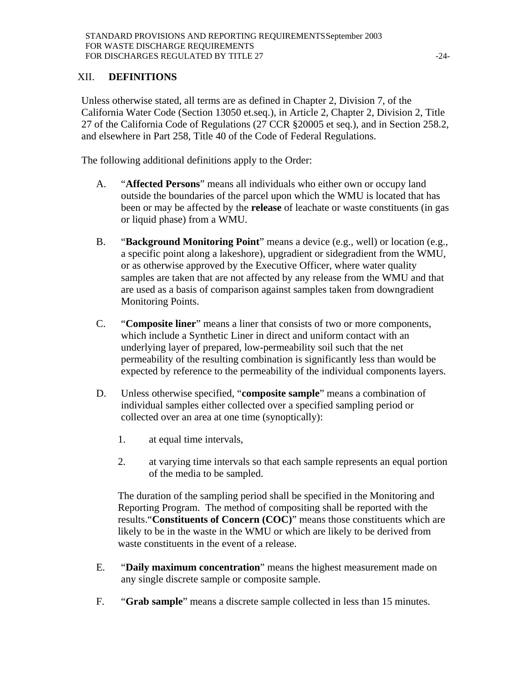# XII. **DEFINITIONS**

Unless otherwise stated, all terms are as defined in Chapter 2, Division 7, of the California Water Code (Section 13050 et.seq.), in Article 2, Chapter 2, Division 2, Title 27 of the California Code of Regulations (27 CCR §20005 et seq.), and in Section 258.2, and elsewhere in Part 258, Title 40 of the Code of Federal Regulations.

The following additional definitions apply to the Order:

- A. "**Affected Persons**" means all individuals who either own or occupy land outside the boundaries of the parcel upon which the WMU is located that has been or may be affected by the **release** of leachate or waste constituents (in gas or liquid phase) from a WMU.
- B. "**Background Monitoring Point**" means a device (e.g., well) or location (e.g., a specific point along a lakeshore), upgradient or sidegradient from the WMU, or as otherwise approved by the Executive Officer, where water quality samples are taken that are not affected by any release from the WMU and that are used as a basis of comparison against samples taken from downgradient Monitoring Points.
- C. "**Composite liner**" means a liner that consists of two or more components, which include a Synthetic Liner in direct and uniform contact with an underlying layer of prepared, low-permeability soil such that the net permeability of the resulting combination is significantly less than would be expected by reference to the permeability of the individual components layers.
- D. Unless otherwise specified, "**composite sample**" means a combination of individual samples either collected over a specified sampling period or collected over an area at one time (synoptically):
	- 1. at equal time intervals,
	- 2. at varying time intervals so that each sample represents an equal portion of the media to be sampled.

The duration of the sampling period shall be specified in the Monitoring and Reporting Program. The method of compositing shall be reported with the results."**Constituents of Concern (COC)**" means those constituents which are likely to be in the waste in the WMU or which are likely to be derived from waste constituents in the event of a release.

- E. "**Daily maximum concentration**" means the highest measurement made on any single discrete sample or composite sample.
- F. "**Grab sample**" means a discrete sample collected in less than 15 minutes.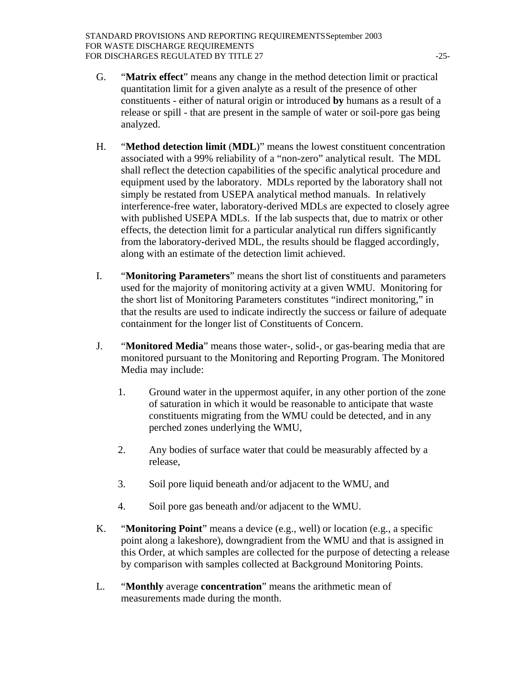- G. "**Matrix effect**" means any change in the method detection limit or practical quantitation limit for a given analyte as a result of the presence of other constituents - either of natural origin or introduced **by** humans as a result of a release or spill - that are present in the sample of water or soil-pore gas being analyzed.
- H. "**Method detection limit** (**MDL**)" means the lowest constituent concentration associated with a 99% reliability of a "non-zero" analytical result. The MDL shall reflect the detection capabilities of the specific analytical procedure and equipment used by the laboratory. MDLs reported by the laboratory shall not simply be restated from USEPA analytical method manuals. In relatively interference-free water, laboratory-derived MDLs are expected to closely agree with published USEPA MDLs. If the lab suspects that, due to matrix or other effects, the detection limit for a particular analytical run differs significantly from the laboratory-derived MDL, the results should be flagged accordingly, along with an estimate of the detection limit achieved.
- I. "**Monitoring Parameters**" means the short list of constituents and parameters used for the majority of monitoring activity at a given WMU. Monitoring for the short list of Monitoring Parameters constitutes "indirect monitoring," in that the results are used to indicate indirectly the success or failure of adequate containment for the longer list of Constituents of Concern.
- J. "**Monitored Media**" means those water-, solid-, or gas-bearing media that are monitored pursuant to the Monitoring and Reporting Program. The Monitored Media may include:
	- 1. Ground water in the uppermost aquifer, in any other portion of the zone of saturation in which it would be reasonable to anticipate that waste constituents migrating from the WMU could be detected, and in any perched zones underlying the WMU,
	- 2. Any bodies of surface water that could be measurably affected by a release,
	- 3. Soil pore liquid beneath and/or adjacent to the WMU, and
	- 4. Soil pore gas beneath and/or adjacent to the WMU.
- K. "**Monitoring Point**" means a device (e.g., well) or location (e.g., a specific point along a lakeshore), downgradient from the WMU and that is assigned in this Order, at which samples are collected for the purpose of detecting a release by comparison with samples collected at Background Monitoring Points.
- L. "**Monthly** average **concentration**" means the arithmetic mean of measurements made during the month.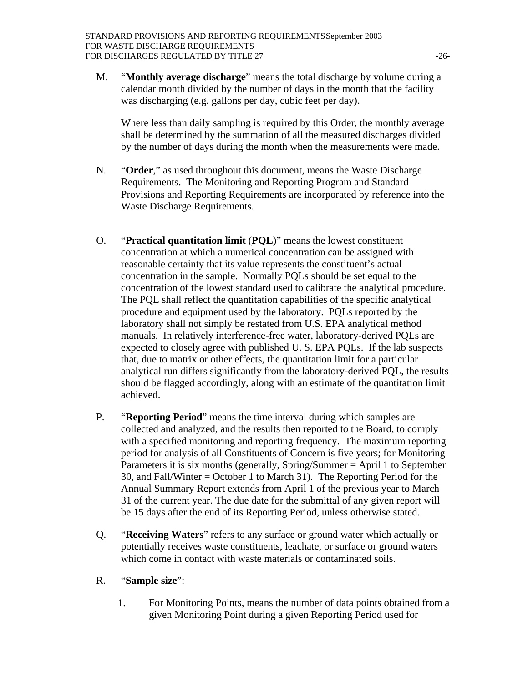M. "**Monthly average discharge**" means the total discharge by volume during a calendar month divided by the number of days in the month that the facility was discharging (e.g. gallons per day, cubic feet per day).

Where less than daily sampling is required by this Order, the monthly average shall be determined by the summation of all the measured discharges divided by the number of days during the month when the measurements were made.

- N. "**Order**," as used throughout this document, means the Waste Discharge Requirements. The Monitoring and Reporting Program and Standard Provisions and Reporting Requirements are incorporated by reference into the Waste Discharge Requirements.
- O. "**Practical quantitation limit** (**PQL**)" means the lowest constituent concentration at which a numerical concentration can be assigned with reasonable certainty that its value represents the constituent's actual concentration in the sample. Normally PQLs should be set equal to the concentration of the lowest standard used to calibrate the analytical procedure. The PQL shall reflect the quantitation capabilities of the specific analytical procedure and equipment used by the laboratory. PQLs reported by the laboratory shall not simply be restated from U.S. EPA analytical method manuals. In relatively interference-free water, laboratory-derived PQLs are expected to closely agree with published U. S. EPA PQLs. If the lab suspects that, due to matrix or other effects, the quantitation limit for a particular analytical run differs significantly from the laboratory-derived PQL, the results should be flagged accordingly, along with an estimate of the quantitation limit achieved.
- P. "**Reporting Period**" means the time interval during which samples are collected and analyzed, and the results then reported to the Board, to comply with a specified monitoring and reporting frequency. The maximum reporting period for analysis of all Constituents of Concern is five years; for Monitoring Parameters it is six months (generally, Spring/Summer = April 1 to September 30, and Fall/Winter = October 1 to March 31). The Reporting Period for the Annual Summary Report extends from April 1 of the previous year to March 31 of the current year. The due date for the submittal of any given report will be 15 days after the end of its Reporting Period, unless otherwise stated.
- Q. "**Receiving Waters**" refers to any surface or ground water which actually or potentially receives waste constituents, leachate, or surface or ground waters which come in contact with waste materials or contaminated soils.
- R. "**Sample size**":
	- 1. For Monitoring Points, means the number of data points obtained from a given Monitoring Point during a given Reporting Period used for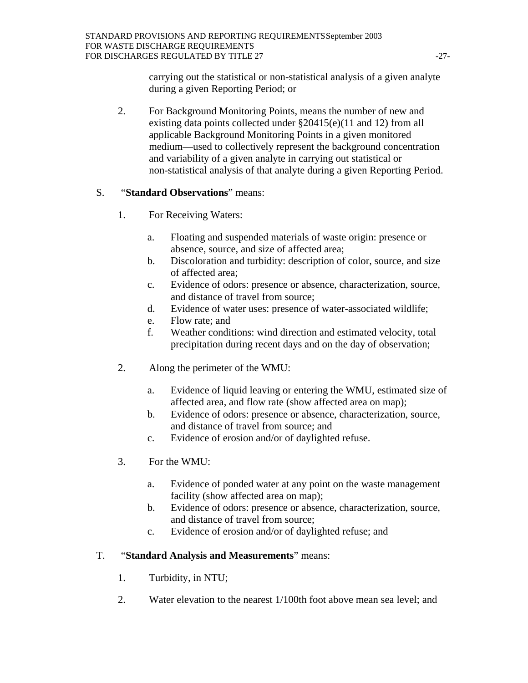carrying out the statistical or non-statistical analysis of a given analyte during a given Reporting Period; or

2. For Background Monitoring Points, means the number of new and existing data points collected under §20415(e)(11 and 12) from all applicable Background Monitoring Points in a given monitored medium—used to collectively represent the background concentration and variability of a given analyte in carrying out statistical or non-statistical analysis of that analyte during a given Reporting Period.

# S. "**Standard Observations**" means:

- 1. For Receiving Waters:
	- a. Floating and suspended materials of waste origin: presence or absence, source, and size of affected area;
	- b. Discoloration and turbidity: description of color, source, and size of affected area;
	- c. Evidence of odors: presence or absence, characterization, source, and distance of travel from source;
	- d. Evidence of water uses: presence of water-associated wildlife;
	- e. Flow rate; and
	- f. Weather conditions: wind direction and estimated velocity, total precipitation during recent days and on the day of observation;
- 2. Along the perimeter of the WMU:
	- a. Evidence of liquid leaving or entering the WMU, estimated size of affected area, and flow rate (show affected area on map);
	- b. Evidence of odors: presence or absence, characterization, source, and distance of travel from source; and
	- c. Evidence of erosion and/or of daylighted refuse.
- 3. For the WMU:
	- a. Evidence of ponded water at any point on the waste management facility (show affected area on map);
	- b. Evidence of odors: presence or absence, characterization, source, and distance of travel from source;
	- c. Evidence of erosion and/or of daylighted refuse; and

# T. "**Standard Analysis and Measurements**" means:

- 1. Turbidity, in NTU;
- 2. Water elevation to the nearest 1/100th foot above mean sea level; and